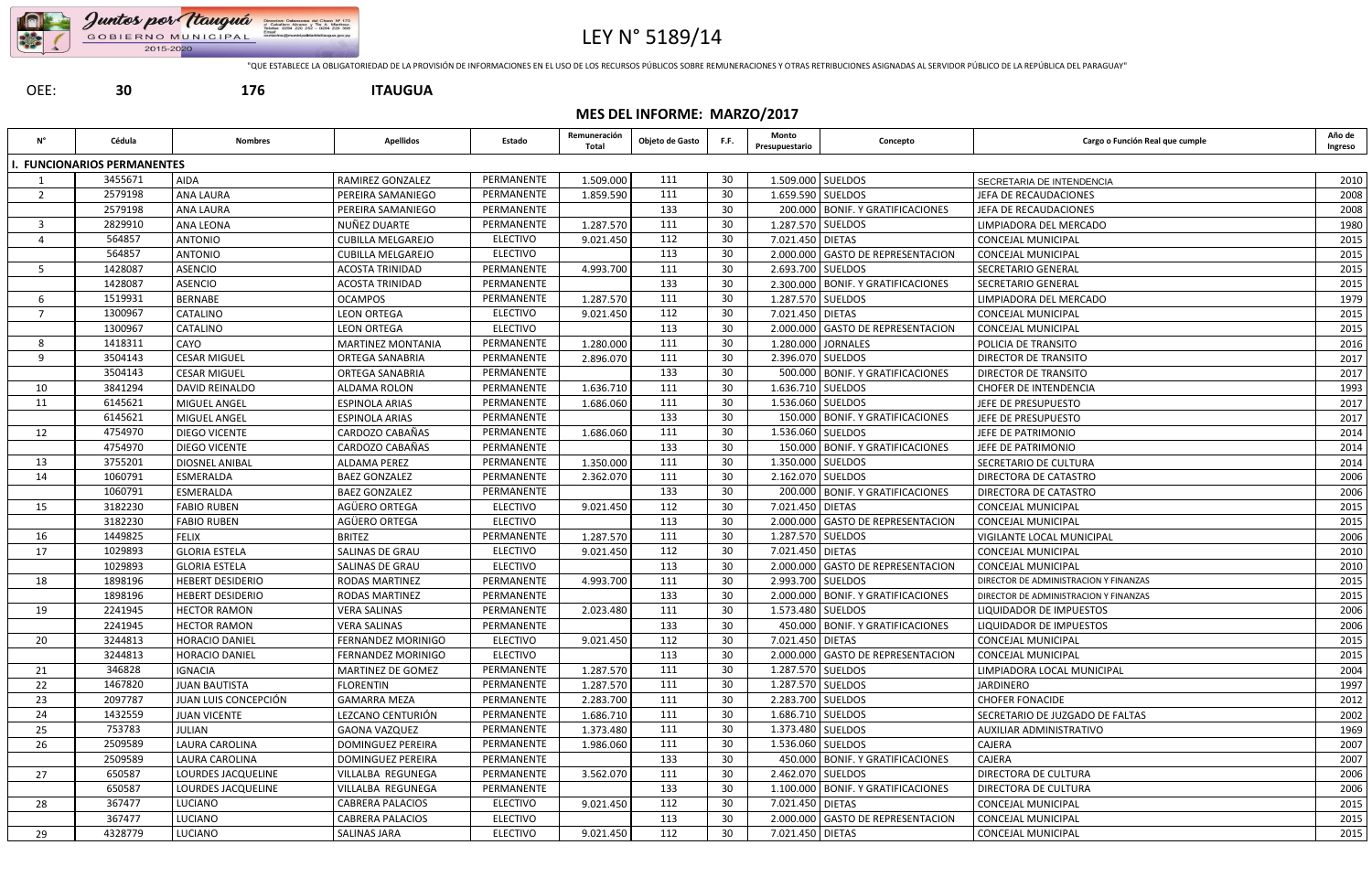

## LEY N° 5189/14

"QUE ESTABLECE LA OBLIGATORIEDAD DE LA PROVISIÓN DE INFORMACIONES EN EL USO DE LOS RECURSOS PÚBLICOS SOBRE REMUNERACIONES Y OTRAS RETRIBUCIONES ASIGNADAS AL SERVIDOR PÚBLICO DE LA REPÚBLICA DEL PARAGUAY"

| 30<br>OEE:<br>176 |
|-------------------|
|-------------------|

OEE: **30 176 ITAUGUA**

### **MES DEL INFORME: MARZO/2017**

| Ν°             | Cédula                          | <b>Nombres</b>          | <b>Apellidos</b>          | Estado          | Remuneración<br>Total | Objeto de Gasto | F.F. | Monto<br>Presupuestario | Concepto                             | Cargo o Función Real que cumple       | Año de<br>Ingreso |
|----------------|---------------------------------|-------------------------|---------------------------|-----------------|-----------------------|-----------------|------|-------------------------|--------------------------------------|---------------------------------------|-------------------|
|                | <b>FUNCIONARIOS PERMANENTES</b> |                         |                           |                 |                       |                 |      |                         |                                      |                                       |                   |
|                | 3455671                         | AIDA                    | <b>RAMIREZ GONZALEZ</b>   | PERMANENTE      | 1.509.000             | 111             | 30   |                         | 1.509.000 SUELDOS                    | SECRETARIA DE INTENDENCIA             | 2010              |
| $\overline{2}$ | 2579198                         | <b>ANA LAURA</b>        | PEREIRA SAMANIEGO         | PERMANENTE      | 1.859.590             | 111             | 30   |                         | 1.659.590 SUELDOS                    | JEFA DE RECAUDACIONES                 | 2008              |
|                | 2579198                         | <b>ANA LAURA</b>        | PEREIRA SAMANIEGO         | PERMANENTE      |                       | 133             | 30   |                         | 200.000 BONIF. Y GRATIFICACIONES     | JEFA DE RECAUDACIONES                 | 2008              |
| $\overline{3}$ | 2829910                         | ANA LEONA               | NUÑEZ DUARTE              | PERMANENTE      | 1.287.570             | 111             | 30   |                         | 1.287.570 SUELDOS                    | LIMPIADORA DEL MERCADO                | 1980              |
|                | 564857                          | <b>ANTONIO</b>          | <b>CUBILLA MELGAREJO</b>  | <b>ELECTIVO</b> | 9.021.450             | 112             | 30   | 7.021.450 DIETAS        |                                      | <b>CONCEJAL MUNICIPAL</b>             | 2015              |
|                | 564857                          | <b>ANTONIO</b>          | <b>CUBILLA MELGAREJO</b>  | <b>ELECTIVO</b> |                       | 113             | 30   |                         | 2.000.000 GASTO DE REPRESENTACION    | <b>CONCEJAL MUNICIPAL</b>             | 2015              |
| - 5            | 1428087                         | <b>ASENCIO</b>          | <b>ACOSTA TRINIDAD</b>    | PERMANENTE      | 4.993.700             | 111             | 30   | 2.693.700 SUELDOS       |                                      | SECRETARIO GENERAL                    | 2015              |
|                | 1428087                         | <b>ASENCIO</b>          | <b>ACOSTA TRINIDAD</b>    | PERMANENTE      |                       | 133             | 30   |                         | 2.300.000 BONIF. Y GRATIFICACIONES   | SECRETARIO GENERAL                    | 2015              |
| -6             | 1519931                         | <b>BERNABE</b>          | <b>OCAMPOS</b>            | PERMANENTE      | 1.287.570             | 111             | -30  |                         | 1.287.570 SUELDOS                    | LIMPIADORA DEL MERCADO                | 1979              |
|                | 1300967                         | CATALINO                | <b>LEON ORTEGA</b>        | <b>ELECTIVO</b> | 9.021.450             | 112             | 30   | 7.021.450 DIETAS        |                                      | <b>CONCEJAL MUNICIPAL</b>             | 2015              |
|                | 1300967                         | CATALINO                | <b>LEON ORTEGA</b>        | <b>ELECTIVO</b> |                       | 113             | 30   |                         | 2.000.000 GASTO DE REPRESENTACION    | <b>CONCEJAL MUNICIPAL</b>             | 2015              |
| -8             | 1418311                         | CAYO                    | <b>MARTINEZ MONTANIA</b>  | PERMANENTE      | 1.280.000             | 111             | 30   |                         | 1.280.000 JORNALES                   | POLICIA DE TRANSITO                   | 2016              |
| -9             | 3504143                         | <b>CESAR MIGUEL</b>     | <b>ORTEGA SANABRIA</b>    | PERMANENTE      | 2.896.070             | 111             | 30   |                         | 2.396.070 SUELDOS                    | <b>DIRECTOR DE TRANSITO</b>           | 2017              |
|                | 3504143                         | <b>CESAR MIGUEL</b>     | <b>ORTEGA SANABRIA</b>    | PERMANENTE      |                       | 133             | 30   |                         | 500.000 BONIF. Y GRATIFICACIONES     | DIRECTOR DE TRANSITO                  | 2017              |
| 10             | 3841294                         | DAVID REINALDO          | ALDAMA ROLON              | PERMANENTE      | 1.636.710             | 111             | 30   |                         | 1.636.710 SUELDOS                    | <b>CHOFER DE INTENDENCIA</b>          | 1993              |
| 11             | 6145621                         | MIGUEL ANGEL            | <b>ESPINOLA ARIAS</b>     | PERMANENTE      | 1.686.060             | 111             | 30   |                         | 1.536.060 SUELDOS                    | JEFE DE PRESUPUESTO                   | 2017              |
|                | 6145621                         | MIGUEL ANGEL            | <b>ESPINOLA ARIAS</b>     | PERMANENTE      |                       | 133             | 30   |                         | 150.000 BONIF. Y GRATIFICACIONES     | JEFE DE PRESUPUESTO                   | 2017              |
| 12             | 4754970                         | DIEGO VICENTE           | CARDOZO CABAÑAS           | PERMANENTE      | 1.686.060             | 111             | 30   |                         | 1.536.060 SUELDOS                    | JEFE DE PATRIMONIO                    | 2014              |
|                | 4754970                         | DIEGO VICENTE           | CARDOZO CABAÑAS           | PERMANENTE      |                       | 133             | 30   |                         | 150.000 BONIF. Y GRATIFICACIONES     | JEFE DE PATRIMONIO                    | 2014              |
| 13             | 3755201                         | DIOSNEL ANIBAL          | ALDAMA PEREZ              | PERMANENTE      | 1.350.000             | 111             | 30   |                         | 1.350.000 SUELDOS                    | SECRETARIO DE CULTURA                 | 2014              |
| 14             | 1060791                         | ESMERALDA               | <b>BAEZ GONZALEZ</b>      | PERMANENTE      | 2.362.070             | 111             | 30   |                         | 2.162.070 SUELDOS                    | DIRECTORA DE CATASTRO                 | 2006              |
|                | 1060791                         | ESMERALDA               | <b>BAEZ GONZALEZ</b>      | PERMANENTE      |                       | 133             | 30   |                         | 200.000   BONIF. Y GRATIFICACIONES   | DIRECTORA DE CATASTRO                 | 2006              |
| 15             | 3182230                         | <b>FABIO RUBEN</b>      | AGÜERO ORTEGA             | ELECTIVO        | 9.021.450             | 112             | 30   | 7.021.450 DIETAS        |                                      | CONCEJAL MUNICIPAL                    | 2015              |
|                | 3182230                         | <b>FABIO RUBEN</b>      | AGÜERO ORTEGA             | <b>ELECTIVO</b> |                       | 113             | 30   |                         | 2.000.000 GASTO DE REPRESENTACION    | <b>CONCEJAL MUNICIPAL</b>             | 2015              |
| 16             | 1449825                         | <b>FELIX</b>            | <b>BRITEZ</b>             | PERMANENTE      | 1.287.570             | 111             | 30   | 1.287.570   SUELDOS     |                                      | VIGILANTE LOCAL MUNICIPAL             | 2006              |
| 17             | 1029893                         | <b>GLORIA ESTELA</b>    | <b>SALINAS DE GRAU</b>    | <b>ELECTIVO</b> | 9.021.450             | 112             | 30   | 7.021.450 DIETAS        |                                      | CONCEJAL MUNICIPAL                    | 2010              |
|                | 1029893                         | <b>GLORIA ESTELA</b>    | SALINAS DE GRAU           | <b>ELECTIVO</b> |                       | 113             | 30   |                         | 2.000.000 GASTO DE REPRESENTACION    | <b>CONCEJAL MUNICIPAL</b>             | 2010              |
| 18             | 1898196                         | <b>HEBERT DESIDERIO</b> | <b>RODAS MARTINEZ</b>     | PERMANENTE      | 4.993.700             | 111             | 30   |                         | 2.993.700 SUELDOS                    | DIRECTOR DE ADMINISTRACION Y FINANZAS | 2015              |
|                | 1898196                         | <b>HEBERT DESIDERIO</b> | <b>RODAS MARTINEZ</b>     | PERMANENTE      |                       | 133             | 30   |                         | 2.000.000 BONIF. Y GRATIFICACIONES   | DIRECTOR DE ADMINISTRACION Y FINANZAS | 2015              |
| 19             | 2241945                         | <b>HECTOR RAMON</b>     | <b>VERA SALINAS</b>       | PERMANENTE      | 2.023.480             | 111             | 30   |                         | 1.573.480 SUELDOS                    | LIQUIDADOR DE IMPUESTOS               | 2006              |
|                | 2241945                         | <b>HECTOR RAMON</b>     | <b>VERA SALINAS</b>       | PERMANENTE      |                       | 133             | 30   |                         | 450.000 BONIF. Y GRATIFICACIONES     | LIQUIDADOR DE IMPUESTOS               | 2006              |
| 20             | 3244813                         | HORACIO DANIEL          | <b>FERNANDEZ MORINIGO</b> | ELECTIVO        | 9.021.450             | 112             | 30   | 7.021.450 DIETAS        |                                      | CONCEJAL MUNICIPAL                    | 2015              |
|                | 3244813                         | HORACIO DANIEL          | <b>FERNANDEZ MORINIGO</b> | <b>ELECTIVO</b> |                       | 113             | 30   |                         | 2.000.000 GASTO DE REPRESENTACION    | CONCEJAL MUNICIPAL                    | 2015              |
| 21             | 346828                          | IGNACIA                 | MARTINEZ DE GOMEZ         | PERMANENTE      | 1.287.570             | 111             | 30   |                         | 1.287.570 SUELDOS                    | LIMPIADORA LOCAL MUNICIPAL            | 2004              |
| 22             | 1467820                         | <b>JUAN BAUTISTA</b>    | <b>FLORENTIN</b>          | PERMANENTE      | 1.287.570             | 111             | 30   |                         | 1.287.570 SUELDOS                    | <b>JARDINERO</b>                      | 1997              |
| 23             | 2097787                         | JUAN LUIS CONCEPCIÓN    | <b>GAMARRA MEZA</b>       | PERMANENTE      | 2.283.700             | 111             | 30   |                         | 2.283.700 SUELDOS                    | <b>CHOFER FONACIDE</b>                | 2012              |
| 24             | 1432559                         | <b>JUAN VICENTE</b>     | LEZCANO CENTURIÓN         | PERMANENTE      | 1.686.710             | 111             | 30   |                         | 1.686.710 SUELDOS                    | SECRETARIO DE JUZGADO DE FALTAS       | 2002              |
| 25             | 753783                          | <b>JULIAN</b>           | <b>GAONA VAZQUEZ</b>      | PERMANENTE      | 1.373.480             | 111             | 30   |                         | 1.373.480 SUELDOS                    | AUXILIAR ADMINISTRATIVO               | 1969              |
| 26             | 2509589                         | LAURA CAROLINA          | <b>DOMINGUEZ PEREIRA</b>  | PERMANENTE      | 1.986.060             | 111             | 30   |                         | 1.536.060 SUELDOS                    | CAJERA                                | 2007              |
|                | 2509589                         | LAURA CAROLINA          | <b>DOMINGUEZ PEREIRA</b>  | PERMANENTE      |                       | 133             | 30   |                         | 450.000 BONIF. Y GRATIFICACIONES     | CAJERA                                | 2007              |
| 27             | 650587                          | LOURDES JACQUELINE      | VILLALBA REGUNEGA         | PERMANENTE      | 3.562.070             | 111             | 30   |                         | 2.462.070 SUELDOS                    | DIRECTORA DE CULTURA                  | 2006              |
|                | 650587                          | LOURDES JACQUELINE      | <b>VILLALBA REGUNEGA</b>  | PERMANENTE      |                       | 133             | 30   |                         | 1.100.000   BONIF. Y GRATIFICACIONES | <b>DIRECTORA DE CULTURA</b>           | 2006              |
| 28             | 367477                          | LUCIANO                 | <b>CABRERA PALACIOS</b>   | <b>ELECTIVO</b> | 9.021.450             | 112             | 30   | 7.021.450 DIETAS        |                                      | CONCEJAL MUNICIPAL                    | 2015              |
|                | 367477                          | LUCIANO                 | <b>CABRERA PALACIOS</b>   | <b>ELECTIVO</b> |                       | 113             | 30   |                         | 2.000.000 GASTO DE REPRESENTACION    | <b>CONCEJAL MUNICIPAL</b>             | 2015              |
| 29             | 4328779                         | LUCIANO                 | <b>SALINAS JARA</b>       | <b>ELECTIVO</b> | 9.021.450             | 112             | 30   | 7.021.450 DIETAS        |                                      | CONCEJAL MUNICIPAL                    | 2015              |
|                |                                 |                         |                           |                 |                       |                 |      |                         |                                      |                                       |                   |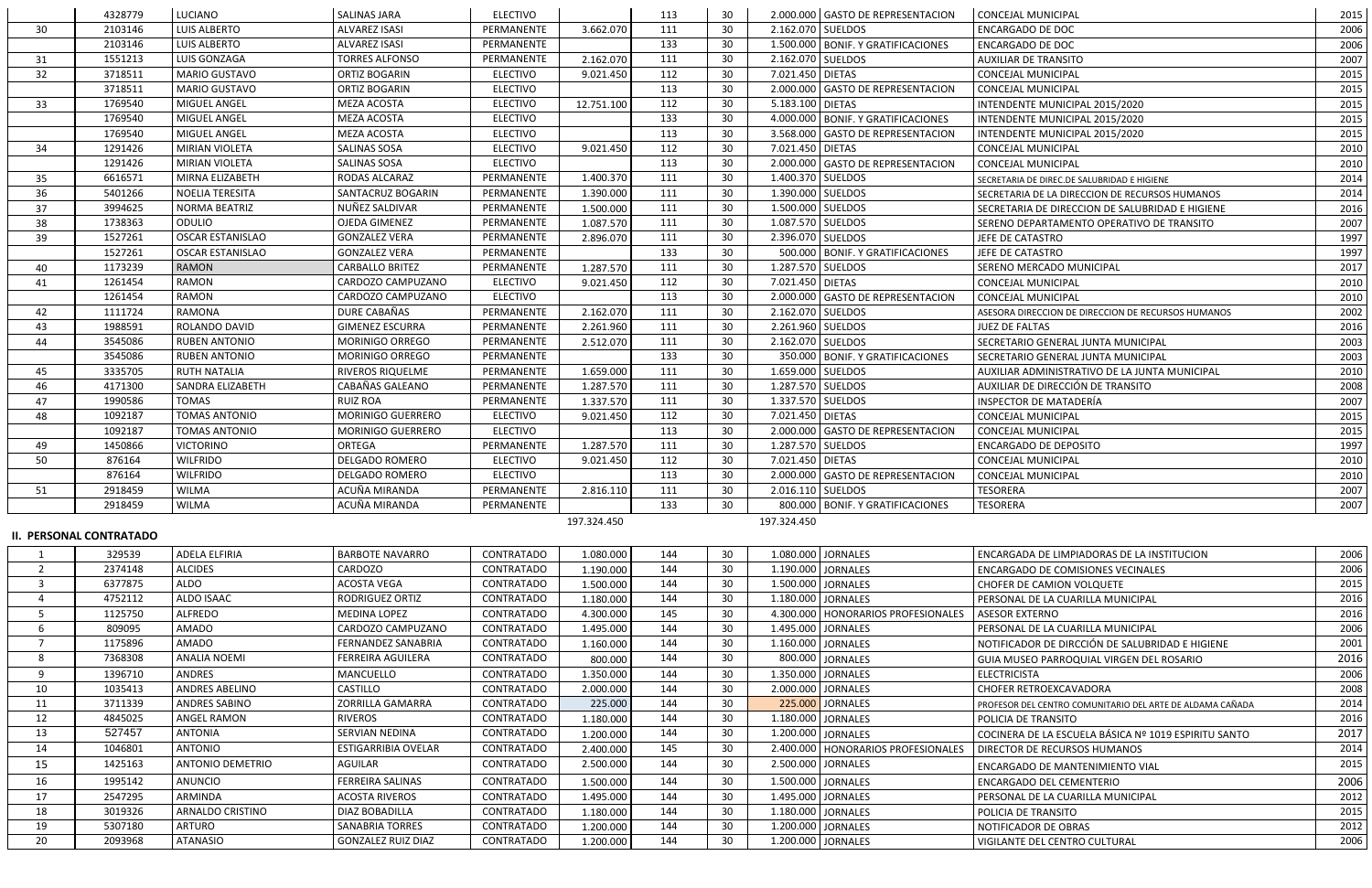|                     | 4328779                        | LUCIANO                 | <b>SALINAS JARA</b>       | <b>ELECTIVO</b>                 |             | 113        | 30              |                   | 2.000.000 GASTO DE REPRESENTACION    | <b>CONCEJAL MUNICIPAL</b>                                 | 2015 |
|---------------------|--------------------------------|-------------------------|---------------------------|---------------------------------|-------------|------------|-----------------|-------------------|--------------------------------------|-----------------------------------------------------------|------|
| 30                  | 2103146                        | LUIS ALBERTO            | <b>ALVAREZ ISASI</b>      | PERMANENTE                      | 3.662.070   | 111        | 30              |                   | 2.162.070 SUELDOS                    | <b>ENCARGADO DE DOC</b>                                   | 2006 |
|                     | 2103146                        | LUIS ALBERTO            | <b>ALVAREZ ISASI</b>      | PERMANENTE                      |             | 133        | 30              |                   | 1.500.000 BONIF. Y GRATIFICACIONES   | <b>ENCARGADO DE DOC</b>                                   | 2006 |
| 31                  | 1551213                        | LUIS GONZAGA            | <b>TORRES ALFONSO</b>     | PERMANENTE                      | 2.162.070   | 111        | 30              |                   | 2.162.070 SUELDOS                    | <b>AUXILIAR DE TRANSITO</b>                               | 2007 |
| 32                  | 3718511                        | <b>MARIO GUSTAVO</b>    | ORTIZ BOGARIN             | <b>ELECTIVO</b>                 | 9.021.450   | 112        | 30              | 7.021.450 DIETAS  |                                      | CONCEJAL MUNICIPAL                                        | 2015 |
|                     | 3718511                        | <b>MARIO GUSTAVO</b>    | ORTIZ BOGARIN             | <b>ELECTIVO</b>                 |             | 113        | 30              |                   | 2.000.000 GASTO DE REPRESENTACION    | CONCEJAL MUNICIPAL                                        | 2015 |
| 33                  | 1769540                        | MIGUEL ANGEL            | MEZA ACOSTA               | <b>ELECTIVO</b>                 | 12.751.100  | 112        | 30              | 5.183.100 DIETAS  |                                      | INTENDENTE MUNICIPAL 2015/2020                            | 2015 |
|                     | 1769540                        | MIGUEL ANGEL            | MEZA ACOSTA               | <b>ELECTIVO</b>                 |             | 133        | 30              |                   | 4.000.000 BONIF. Y GRATIFICACIONES   | INTENDENTE MUNICIPAL 2015/2020                            | 2015 |
|                     | 1769540                        | MIGUEL ANGEL            | MEZA ACOSTA               | <b>ELECTIVO</b>                 |             | 113        | 30              |                   | 3.568.000 GASTO DE REPRESENTACION    | INTENDENTE MUNICIPAL 2015/2020                            | 2015 |
| 34                  | 1291426                        | <b>MIRIAN VIOLETA</b>   | SALINAS SOSA              | <b>ELECTIVO</b>                 | 9.021.450   | 112        | 30              | 7.021.450 DIETAS  |                                      | CONCEJAL MUNICIPAL                                        | 2010 |
|                     | 1291426                        | MIRIAN VIOLETA          | SALINAS SOSA              | <b>ELECTIVO</b>                 |             | 113        | 30              |                   | 2.000.000 GASTO DE REPRESENTACION    | <b>CONCEJAL MUNICIPAL</b>                                 | 2010 |
| 35                  | 6616571                        | MIRNA ELIZABETH         | RODAS ALCARAZ             | PERMANENTE                      | 1.400.370   | 111        | 30              |                   | 1.400.370 SUELDOS                    | SECRETARIA DE DIREC.DE SALUBRIDAD E HIGIENE               | 2014 |
| 36                  | 5401266                        | <b>NOELIA TERESITA</b>  | SANTACRUZ BOGARIN         | PERMANENTE                      | 1.390.000   | 111        | 30              |                   | 1.390.000 SUELDOS                    | SECRETARIA DE LA DIRECCION DE RECURSOS HUMANOS            | 2014 |
| 37                  | 3994625                        | <b>NORMA BEATRIZ</b>    | NUÑEZ SALDIVAR            | PERMANENTE                      | 1.500.000   | 111        | 30              |                   | 1.500.000 SUELDOS                    | SECRETARIA DE DIRECCION DE SALUBRIDAD E HIGIENE           | 2016 |
| 38                  | 1738363                        | ODULIO                  | OJEDA GIMENEZ             | PERMANENTE                      | 1.087.570   | 111        | 30              |                   | 1.087.570 SUELDOS                    | SERENO DEPARTAMENTO OPERATIVO DE TRANSITO                 | 2007 |
| 39                  | 1527261                        | <b>OSCAR ESTANISLAO</b> | <b>GONZALEZ VERA</b>      | PERMANENTE                      | 2.896.070   | 111        | 30              |                   | 2.396.070 SUELDOS                    | JEFE DE CATASTRO                                          | 1997 |
|                     | 1527261                        | <b>OSCAR ESTANISLAO</b> | <b>GONZALEZ VERA</b>      | PERMANENTE                      |             | 133        | 30              |                   | 500.000 BONIF. Y GRATIFICACIONES     | JEFE DE CATASTRO                                          | 1997 |
| 40                  | 1173239                        | <b>RAMON</b>            | <b>CARBALLO BRITEZ</b>    | PERMANENTE                      | 1.287.570   | 111        | 30              | 1.287.570 SUELDOS |                                      | SERENO MERCADO MUNICIPAL                                  | 2017 |
| 41                  | 1261454                        | <b>RAMON</b>            | CARDOZO CAMPUZANO         | <b>ELECTIVO</b>                 | 9.021.450   | 112        | 30              | 7.021.450 DIETAS  |                                      | <b>CONCEJAL MUNICIPAL</b>                                 | 2010 |
|                     | 1261454                        | <b>RAMON</b>            | CARDOZO CAMPUZANO         | <b>ELECTIVO</b>                 |             | 113        | 30              |                   | 2.000.000 GASTO DE REPRESENTACION    | <b>CONCEJAL MUNICIPAL</b>                                 | 2010 |
| 42                  | 1111724                        | <b>RAMONA</b>           | DURE CABAÑAS              | PERMANENTE                      | 2.162.070   | 111        | 30              | 2.162.070 SUELDOS |                                      | ASESORA DIRECCION DE DIRECCION DE RECURSOS HUMANOS        | 2002 |
| 43                  | 1988591                        | ROLANDO DAVID           | <b>GIMENEZ ESCURRA</b>    | PERMANENTE                      | 2.261.960   | 111        | 30              |                   | 2.261.960 SUELDOS                    | <b>JUEZ DE FALTAS</b>                                     | 2016 |
| 44                  | 3545086                        | <b>RUBEN ANTONIO</b>    | MORINIGO ORREGO           | PERMANENTE                      | 2.512.070   | 111        | 30              |                   | 2.162.070 SUELDOS                    | SECRETARIO GENERAL JUNTA MUNICIPAL                        | 2003 |
|                     | 3545086                        | <b>RUBEN ANTONIO</b>    | <b>MORINIGO ORREGO</b>    | PERMANENTE                      |             | 133        | 30              |                   | 350.000 BONIF. Y GRATIFICACIONES     | SECRETARIO GENERAL JUNTA MUNICIPAL                        | 2003 |
| 45                  | 3335705                        | <b>RUTH NATALIA</b>     | <b>RIVEROS RIQUELME</b>   | PERMANENTE                      | 1.659.000   | 111        | 30              |                   | 1.659.000 SUELDOS                    | AUXILIAR ADMINISTRATIVO DE LA JUNTA MUNICIPAL             | 2010 |
| 46                  | 4171300                        | <b>SANDRA ELIZABETH</b> | CABAÑAS GALEANO           | PERMANENTE                      | 1.287.570   | 111        | 30              |                   | 1.287.570 SUELDOS                    | AUXILIAR DE DIRECCIÓN DE TRANSITO                         | 2008 |
| 47                  | 1990586                        | <b>TOMAS</b>            | <b>RUIZ ROA</b>           | PERMANENTE                      | 1.337.570   | 111        | 30              |                   | 1.337.570 SUELDOS                    | INSPECTOR DE MATADERÍA                                    | 2007 |
| 48                  | 1092187                        | <b>TOMAS ANTONIO</b>    | MORINIGO GUERRERO         | <b>ELECTIVO</b>                 | 9.021.450   | 112        | 30              | 7.021.450 DIETAS  |                                      | CONCEJAL MUNICIPAL                                        | 2015 |
|                     | 1092187                        | <b>TOMAS ANTONIO</b>    | <b>MORINIGO GUERRERO</b>  | <b>ELECTIVO</b>                 |             | 113        | 30              |                   | 2.000.000 GASTO DE REPRESENTACION    | <b>CONCEJAL MUNICIPAL</b>                                 | 2015 |
| 49                  | 1450866                        | <b>VICTORINO</b>        | ORTEGA                    | PERMANENTE                      | 1.287.570   | 111        | 30              |                   | 1.287.570 SUELDOS                    | <b>ENCARGADO DE DEPOSITO</b>                              | 1997 |
| 50                  | 876164                         | <b>WILFRIDO</b>         | <b>DELGADO ROMERO</b>     | <b>ELECTIVO</b>                 | 9.021.450   | 112        | 30              | 7.021.450 DIETAS  |                                      | <b>CONCEJAL MUNICIPAL</b>                                 | 2010 |
|                     | 876164                         | <b>WILFRIDO</b>         | <b>DELGADO ROMERO</b>     | <b>ELECTIVO</b>                 |             | 113        | 30              |                   | 2.000.000 GASTO DE REPRESENTACION    | <b>CONCEJAL MUNICIPAL</b>                                 | 2010 |
| 51                  | 2918459                        | <b>WILMA</b>            | ACUÑA MIRANDA             | PERMANENTE                      | 2.816.110   | 111        | 30              |                   | 2.016.110 SUELDOS                    | <b>TESORERA</b>                                           | 2007 |
|                     | 2918459                        | <b>WILMA</b>            | ACUÑA MIRANDA             | PERMANENTE                      |             | 133        | 30 <sup>°</sup> |                   | 800.000 BONIF. Y GRATIFICACIONES     | <b>TESORERA</b>                                           | 2007 |
|                     |                                |                         |                           |                                 | 197.324.450 |            |                 | 197.324.450       |                                      |                                                           |      |
|                     | <b>II. PERSONAL CONTRATADO</b> |                         |                           |                                 |             |            |                 |                   |                                      |                                                           |      |
|                     | 329539                         | ADELA ELFIRIA           | <b>BARBOTE NAVARRO</b>    | <b>CONTRATADO</b>               | 1.080.000   | 144        | 30              |                   | 1.080.000 JORNALES                   | ENCARGADA DE LIMPIADORAS DE LA INSTITUCION                | 2006 |
| $\overline{2}$      | 2374148                        | <b>ALCIDES</b>          | CARDOZO                   | CONTRATADO                      |             | 144        | 30              |                   | 1.190.000 JORNALES                   |                                                           | 2006 |
| 3                   | 6377875                        | ALDO                    | <b>ACOSTA VEGA</b>        | <b>CONTRATADO</b>               | 1.190.000   | 144        | 30              |                   | 1.500.000 JORNALES                   | <b>ENCARGADO DE COMISIONES VECINALES</b>                  | 2015 |
| $\overline{a}$      |                                | ALDO ISAAC              | RODRIGUEZ ORTIZ           |                                 | 1.500.000   |            |                 |                   | 1.180.000 JORNALES                   | CHOFER DE CAMION VOLQUETE                                 | 2016 |
| 5                   | 4752112<br>1125750             | <b>ALFREDO</b>          | <b>MEDINA LOPEZ</b>       | CONTRATADO<br><b>CONTRATADO</b> | 1.180.000   | 144<br>145 | 30<br>30        |                   |                                      | PERSONAL DE LA CUARILLA MUNICIPAL                         | 2016 |
|                     |                                |                         |                           |                                 | 4.300.000   |            |                 |                   | 4.300.000   HONORARIOS PROFESIONALES | ASESOR EXTERNO                                            |      |
| 6<br>$\overline{7}$ | 809095                         | AMADO                   | CARDOZO CAMPUZANO         | CONTRATADO<br><b>CONTRATADO</b> | 1.495.000   | 144        | 30              |                   | 1.495.000 JORNALES                   | PERSONAL DE LA CUARILLA MUNICIPAL                         | 2006 |
|                     | 1175896                        | AMADO                   | FERNANDEZ SANABRIA        |                                 | 1.160.000   | 144        | 30              |                   | 1.160.000 JORNALES                   | NOTIFICADOR DE DIRCCIÓN DE SALUBRIDAD E HIGIENE           | 2001 |
| 8                   | 7368308                        | <b>ANALIA NOEMI</b>     | FERREIRA AGUILERA         | CONTRATADO                      | 800.000     | 144        | 30              |                   | 800.000 JORNALES                     | GUIA MUSEO PARROQUIAL VIRGEN DEL ROSARIO                  | 2016 |
| 9                   | 1396710                        | <b>ANDRES</b>           | MANCUELLO                 | CONTRATADO                      | 1.350.000   | 144        | 30              |                   | 1.350.000 JORNALES                   | <b>ELECTRICISTA</b>                                       | 2006 |
| 10                  | 1035413                        | <b>ANDRES ABELINO</b>   | CASTILLO                  | CONTRATADO                      | 2.000.000   | 144        | 30              |                   | 2.000.000 JORNALES                   | CHOFER RETROEXCAVADORA                                    | 2008 |
| 11                  | 3711339                        | <b>ANDRES SABINO</b>    | ZORRILLA GAMARRA          | CONTRATADO                      | 225.000     | 144        | 30              |                   | 225.000 JORNALES                     | PROFESOR DEL CENTRO COMUNITARIO DEL ARTE DE ALDAMA CAÑADA | 2014 |
| 12                  | 4845025                        | <b>ANGEL RAMON</b>      | <b>RIVEROS</b>            | CONTRATADO                      | 1.180.000   | 144        | 30              |                   | 1.180.000 JORNALES                   | POLICIA DE TRANSITO                                       | 2016 |
| 13                  | 527457                         | <b>ANTONIA</b>          | SERVIAN NEDINA            | CONTRATADO                      | 1.200.000   | 144        | 30              |                   | 1.200.000 JORNALES                   | COCINERA DE LA ESCUELA BÁSICA Nº 1019 ESPIRITU SANTO      | 2017 |
| 14                  | 1046801                        | <b>ANTONIO</b>          | ESTIGARRIBIA OVELAR       | CONTRATADO                      | 2.400.000   | 145        | 30              |                   | 2.400.000   HONORARIOS PROFESIONALES | DIRECTOR DE RECURSOS HUMANOS                              | 2014 |
| 15                  | 1425163                        | <b>ANTONIO DEMETRIO</b> | AGUILAR                   | CONTRATADO                      | 2.500.000   | 144        | 30              |                   | 2.500.000 JORNALES                   | ENCARGADO DE MANTENIMIENTO VIAL                           | 2015 |
| 16                  | 1995142                        | ANUNCIO                 | <b>FERREIRA SALINAS</b>   | CONTRATADO                      | 1.500.000   | 144        | 30              |                   | 1.500.000 JORNALES                   | ENCARGADO DEL CEMENTERIO                                  | 2006 |
| 17                  | 2547295                        | ARMINDA                 | <b>ACOSTA RIVEROS</b>     | CONTRATADO                      | 1.495.000   | 144        | 30              |                   | 1.495.000 JORNALES                   | PERSONAL DE LA CUARILLA MUNICIPAL                         | 2012 |
| 18                  | 3019326                        | ARNALDO CRISTINO        | DIAZ BOBADILLA            | CONTRATADO                      | 1.180.000   | 144        | 30              |                   | 1.180.000 JORNALES                   | POLICIA DE TRANSITO                                       | 2015 |
| 19                  | 5307180                        | <b>ARTURO</b>           | <b>SANABRIA TORRES</b>    | CONTRATADO                      | 1.200.000   | 144        | 30              |                   | 1.200.000 JORNALES                   | NOTIFICADOR DE OBRAS                                      | 2012 |
| 20                  | 2093968                        | <b>ATANASIO</b>         | <b>GONZALEZ RUIZ DIAZ</b> | CONTRATADO                      | 1.200.000   | 144        | 30              |                   | 1.200.000 JORNALES                   | VIGILANTE DEL CENTRO CULTURAL                             | 2006 |
|                     |                                |                         |                           |                                 |             |            |                 |                   |                                      |                                                           |      |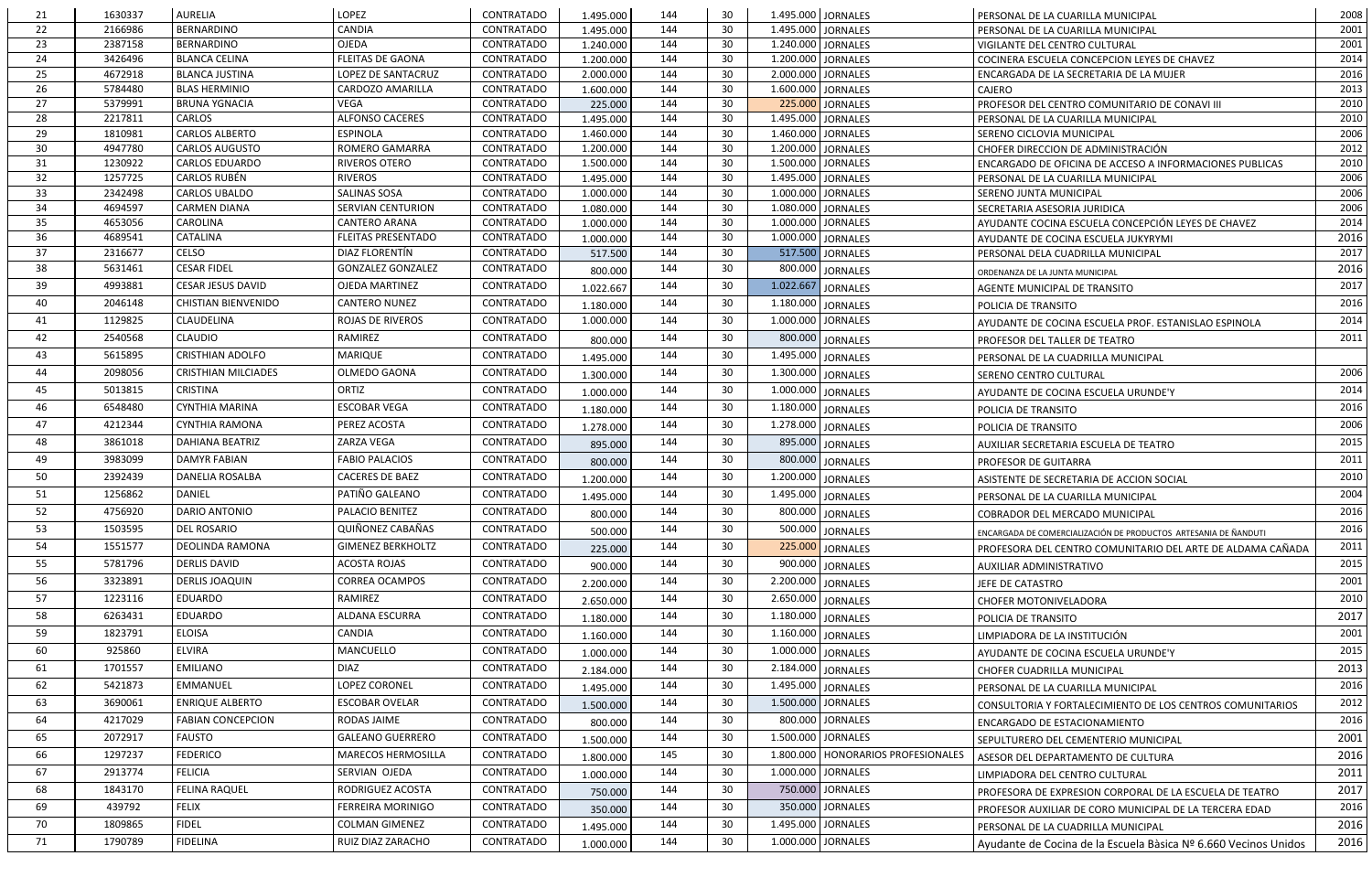| 21       | 1630337            | <b>AURELIA</b>                 | LOPEZ                                 | CONTRATADO                             | 1.495.000            | 144        | 30       |           | 1.495.000 JORNALES                     | PERSONAL DE LA CUARILLA MUNICIPAL                                                  | 2008         |
|----------|--------------------|--------------------------------|---------------------------------------|----------------------------------------|----------------------|------------|----------|-----------|----------------------------------------|------------------------------------------------------------------------------------|--------------|
| 22       | 2166986            | <b>BERNARDINO</b>              | <b>CANDIA</b>                         | CONTRATADO                             | 1.495.000            | 144        | 30       |           | 1.495.000 JORNALES                     | PERSONAL DE LA CUARILLA MUNICIPAL                                                  | 2001         |
| 23       | 2387158            | <b>BERNARDINO</b>              | <b>OJEDA</b>                          | CONTRATADO                             | 1.240.000            | 144        | 30       |           | 1.240.000 JORNALES                     | VIGILANTE DEL CENTRO CULTURAL                                                      | 2001         |
| 24       | 3426496            | <b>BLANCA CELINA</b>           | <b>FLEITAS DE GAONA</b>               | CONTRATADO                             | 1.200.000            | 144        | 30       |           | 1.200.000 JORNALES                     | COCINERA ESCUELA CONCEPCION LEYES DE CHAVEZ                                        | 2014         |
| 25       | 4672918            | <b>BLANCA JUSTINA</b>          | LOPEZ DE SANTACRUZ                    | CONTRATADO                             | 2.000.000            | 144        | 30       |           | 2.000.000 JORNALES                     | ENCARGADA DE LA SECRETARIA DE LA MUJER                                             | 2016         |
| 26       | 5784480            | <b>BLAS HERMINIO</b>           | CARDOZO AMARILLA                      | CONTRATADO                             | 1.600.000            | 144        | 30       |           | 1.600.000 JORNALES                     | <b>CAJERO</b>                                                                      | 2013         |
| 27<br>28 | 5379991<br>2217811 | <b>BRUNA YGNACIA</b><br>CARLOS | <b>VEGA</b><br><b>ALFONSO CACERES</b> | <b>CONTRATADO</b><br><b>CONTRATADO</b> | 225.000<br>1.495.000 | 144<br>144 | 30<br>30 |           | 225.000 JORNALES<br>1.495.000 JORNALES | PROFESOR DEL CENTRO COMUNITARIO DE CONAVI III<br>PERSONAL DE LA CUARILLA MUNICIPAL | 2010<br>2010 |
| 29       | 1810981            | <b>CARLOS ALBERTO</b>          | <b>ESPINOLA</b>                       | <b>CONTRATADO</b>                      | 1.460.000            | 144        | 30       |           | 1.460.000 JORNALES                     | SERENO CICLOVIA MUNICIPAL                                                          | 2006         |
| 30       | 4947780            | <b>CARLOS AUGUSTO</b>          | ROMERO GAMARRA                        | <b>CONTRATADO</b>                      | 1.200.000            | 144        | 30       |           | 1.200.000 JORNALES                     | CHOFER DIRECCION DE ADMINISTRACIÓN                                                 | 2012         |
| 31       | 1230922            | <b>CARLOS EDUARDO</b>          | RIVEROS OTERO                         | <b>CONTRATADO</b>                      | 1.500.000            | 144        | 30       |           | 1.500.000 JORNALES                     | ENCARGADO DE OFICINA DE ACCESO A INFORMACIONES PUBLICAS                            | 2010         |
| 32       | 1257725            | <b>CARLOS RUBÉN</b>            | <b>RIVEROS</b>                        | <b>CONTRATADO</b>                      | 1.495.000            | 144        | 30       |           | 1.495.000 JORNALES                     | PERSONAL DE LA CUARILLA MUNICIPAL                                                  | 2006         |
| 33       | 2342498            | <b>CARLOS UBALDO</b>           | <b>SALINAS SOSA</b>                   | <b>CONTRATADO</b>                      | 1.000.000            | 144        | 30       |           | 1.000.000 JORNALES                     | SERENO JUNTA MUNICIPAL                                                             | 2006         |
| 34       | 4694597            | <b>CARMEN DIANA</b>            | SERVIAN CENTURION                     | CONTRATADO                             | 1.080.000            | 144        | 30       |           | 1.080.000 JORNALES                     | SECRETARIA ASESORIA JURIDICA                                                       | 2006         |
| 35       | 4653056            | CAROLINA                       | <b>CANTERO ARANA</b>                  | CONTRATADO                             | 1.000.000            | 144        | 30       |           | 1.000.000 JORNALES                     | AYUDANTE COCINA ESCUELA CONCEPCIÓN LEYES DE CHAVEZ                                 | 2014         |
| 36       | 4689541            | CATALINA                       | <b>FLEITAS PRESENTADO</b>             | <b>CONTRATADO</b>                      | 1.000.000            | 144        | 30       |           | 1.000.000 JORNALES                     | AYUDANTE DE COCINA ESCUELA JUKYRYMI                                                | 2016         |
| 37       | 2316677            | <b>CELSO</b>                   | DIAZ FLORENTÍN                        | CONTRATADO                             | 517.500              | 144        | 30       |           | 517.500 JORNALES                       | PERSONAL DELA CUADRILLA MUNICIPAL                                                  | 2017         |
| 38       | 5631461            | <b>CESAR FIDEL</b>             | <b>GONZALEZ GONZALEZ</b>              | CONTRATADO                             | 800.000              | 144        | 30       |           | 800.000 JORNALES                       | ORDENANZA DE LA JUNTA MUNICIPAL                                                    | 2016         |
| 39       | 4993881            | <b>CESAR JESUS DAVID</b>       | OJEDA MARTINEZ                        | <b>CONTRATADO</b>                      | 1.022.667            | 144        | 30       | 1.022.667 | JORNALES                               | AGENTE MUNICIPAL DE TRANSITO                                                       | 2017         |
| 40       | 2046148            | <b>CHISTIAN BIENVENIDO</b>     | <b>CANTERO NUNEZ</b>                  | <b>CONTRATADO</b>                      | 1.180.000            | 144        | 30       |           | 1.180.000 JORNALES                     | POLICIA DE TRANSITO                                                                | 2016         |
| 41       | 1129825            | <b>CLAUDELINA</b>              | <b>ROJAS DE RIVEROS</b>               | CONTRATADO                             | 1.000.000            | 144        | 30       |           | 1.000.000 JORNALES                     | AYUDANTE DE COCINA ESCUELA PROF. ESTANISLAO ESPINOLA                               | 2014         |
| 42       | 2540568            | <b>CLAUDIO</b>                 | RAMIREZ                               | CONTRATADO                             | 800.000              | 144        | 30       |           | 800.000 JORNALES                       | PROFESOR DEL TALLER DE TEATRO                                                      | 2011         |
| 43       | 5615895            | <b>CRISTHIAN ADOLFO</b>        | <b>MARIQUE</b>                        | <b>CONTRATADO</b>                      | 1.495.000            | 144        | 30       |           | 1.495.000 JORNALES                     | PERSONAL DE LA CUADRILLA MUNICIPAL                                                 |              |
| 44       | 2098056            | <b>CRISTHIAN MILCIADES</b>     | OLMEDO GAONA                          | CONTRATADO                             | 1.300.000            | 144        | 30       |           | 1.300.000 JORNALES                     | SERENO CENTRO CULTURAL                                                             | 2006         |
| 45       | 5013815            | <b>CRISTINA</b>                | ORTIZ                                 | CONTRATADO                             | 1.000.000            | 144        | 30       |           | 1.000.000 JORNALES                     | AYUDANTE DE COCINA ESCUELA URUNDE'Y                                                | 2014         |
| 46       | 6548480            | <b>CYNTHIA MARINA</b>          | <b>ESCOBAR VEGA</b>                   | <b>CONTRATADO</b>                      | 1.180.000            | 144        | 30       |           | 1.180.000 JORNALES                     | POLICIA DE TRANSITO                                                                | 2016         |
| 47       | 4212344            | <b>CYNTHIA RAMONA</b>          | PEREZ ACOSTA                          | CONTRATADO                             | 1.278.000            | 144        | 30       |           | 1.278.000 JORNALES                     | POLICIA DE TRANSITO                                                                | 2006         |
| 48       | 3861018            | <b>DAHIANA BEATRIZ</b>         | ZARZA VEGA                            | CONTRATADO                             | 895.000              | 144        | 30       |           | 895.000 JORNALES                       |                                                                                    | 2015         |
| 49       | 3983099            | <b>DAMYR FABIAN</b>            | <b>FABIO PALACIOS</b>                 | CONTRATADO                             | 800.000              | 144        | 30       |           | 800.000 JORNALES                       | AUXILIAR SECRETARIA ESCUELA DE TEATRO<br>PROFESOR DE GUITARRA                      | 2011         |
| 50       | 2392439            | <b>DANELIA ROSALBA</b>         | <b>CACERES DE BAEZ</b>                | <b>CONTRATADO</b>                      |                      | 144        | 30       |           | 1.200.000 JORNALES                     |                                                                                    | 2010         |
| 51       | 1256862            | DANIEL                         | PATIÑO GALEANO                        | CONTRATADO                             | 1.200.000            | 144        | 30       |           |                                        | ASISTENTE DE SECRETARIA DE ACCION SOCIAL                                           | 2004         |
| 52       | 4756920            | DARIO ANTONIO                  | PALACIO BENITEZ                       | CONTRATADO                             | 1.495.000            | 144        | 30       |           | 1.495.000 JORNALES                     | PERSONAL DE LA CUARILLA MUNICIPAL                                                  | 2016         |
|          |                    |                                |                                       |                                        | 800.000              |            |          |           | 800.000 JORNALES                       | COBRADOR DEL MERCADO MUNICIPAL                                                     |              |
| 53       | 1503595            | <b>DEL ROSARIO</b>             | QUIÑONEZ CABAÑAS                      | CONTRATADO                             | 500.000              | 144        | 30       |           | 500.000 JORNALES                       | ENCARGADA DE COMERCIALIZACIÓN DE PRODUCTOS ARTESANIA DE ÑANDUTI                    | 2016         |
| 54       | 1551577            | DEOLINDA RAMONA                | <b>GIMENEZ BERKHOLTZ</b>              | CONTRATADO                             | 225.000              | 144        | 30       |           | 225.000 JORNALES                       | PROFESORA DEL CENTRO COMUNITARIO DEL ARTE DE ALDAMA CAÑADA                         | 2011         |
| 55       | 5781796            | <b>DERLIS DAVID</b>            | <b>ACOSTA ROJAS</b>                   | CONTRATADO                             | 900.000              | 144        | 30       |           | 900.000 JORNALES                       | AUXILIAR ADMINISTRATIVO                                                            | 2015         |
| 56       | 3323891            | <b>DERLIS JOAQUIN</b>          | <b>CORREA OCAMPOS</b>                 | CONTRATADO                             | 2.200.000            | 144        | 30       |           | 2.200.000 JORNALES                     | JEFE DE CATASTRO                                                                   | 2001         |
| 57       | 1223116            | <b>EDUARDO</b>                 | RAMIREZ                               | CONTRATADO                             | 2.650.000            | 144        | 30       |           | 2.650.000 JORNALES                     | <b>CHOFER MOTONIVELADORA</b>                                                       | 2010         |
| 58       | 6263431            | <b>EDUARDO</b>                 | ALDANA ESCURRA                        | <b>CONTRATADO</b>                      | 1.180.000            | 144        | 30       |           | 1.180.000 JORNALES                     | POLICIA DE TRANSITO                                                                | 2017         |
| 59       | 1823791            | <b>ELOISA</b>                  | CANDIA                                | CONTRATADO                             | 1.160.000            | 144        | 30       |           | 1.160.000 JORNALES                     | LIMPIADORA DE LA INSTITUCIÓN                                                       | 2001         |
| 60       | 925860             | <b>ELVIRA</b>                  | MANCUELLO                             | CONTRATADO                             | 1.000.000            | 144        | 30       |           | 1.000.000 JORNALES                     | AYUDANTE DE COCINA ESCUELA URUNDE'Y                                                | 2015         |
| 61       | 1701557            | <b>EMILIANO</b>                | <b>DIAZ</b>                           | CONTRATADO                             | 2.184.000            | 144        | 30       |           | 2.184.000 JORNALES                     | CHOFER CUADRILLA MUNICIPAL                                                         | 2013         |
| 62       | 5421873            | <b>EMMANUEL</b>                | LOPEZ CORONEL                         | CONTRATADO                             | 1.495.000            | 144        | 30       |           | 1.495.000 JORNALES                     | PERSONAL DE LA CUARILLA MUNICIPAL                                                  | 2016         |
| 63       | 3690061            | <b>ENRIQUE ALBERTO</b>         | <b>ESCOBAR OVELAR</b>                 | CONTRATADO                             | 1.500.000            | 144        | 30       |           | 1.500.000 JORNALES                     | CONSULTORIA Y FORTALECIMIENTO DE LOS CENTROS COMUNITARIOS                          | 2012         |
| 64       | 4217029            | <b>FABIAN CONCEPCION</b>       | RODAS JAIME                           | CONTRATADO                             | 800.000              | 144        | 30       |           | 800.000 JORNALES                       | ENCARGADO DE ESTACIONAMIENTO                                                       | 2016         |
| 65       | 2072917            | <b>FAUSTO</b>                  | <b>GALEANO GUERRERO</b>               | CONTRATADO                             | 1.500.000            | 144        | 30       |           | 1.500.000 JORNALES                     |                                                                                    | 2001         |
| 66       | 1297237            | <b>FEDERICO</b>                | <b>MARECOS HERMOSILLA</b>             | CONTRATADO                             |                      | 145        | 30       |           | 1.800.000 HONORARIOS PROFESIONALES     | SEPULTURERO DEL CEMENTERIO MUNICIPAL                                               | 2016         |
| 67       | 2913774            | <b>FELICIA</b>                 | SERVIAN OJEDA                         | CONTRATADO                             | 1.800.000            | 144        | 30       |           | 1.000.000 JORNALES                     | ASESOR DEL DEPARTAMENTO DE CULTURA                                                 | 2011         |
|          |                    | <b>FELINA RAQUEL</b>           | RODRIGUEZ ACOSTA                      | CONTRATADO                             | 1.000.000            |            |          |           | 750.000 JORNALES                       | LIMPIADORA DEL CENTRO CULTURAL                                                     |              |
| 68       | 1843170            |                                |                                       |                                        | 750.000              | 144        | 30       |           |                                        | PROFESORA DE EXPRESION CORPORAL DE LA ESCUELA DE TEATRO                            | 2017         |
| 69       | 439792             | <b>FELIX</b>                   | <b>FERREIRA MORINIGO</b>              | CONTRATADO                             | 350.000              | 144        | 30       |           | 350.000 JORNALES                       | PROFESOR AUXILIAR DE CORO MUNICIPAL DE LA TERCERA EDAD                             | 2016         |
| 70       | 1809865            | <b>FIDEL</b>                   | <b>COLMAN GIMENEZ</b>                 | CONTRATADO                             | 1.495.000            | 144        | 30       |           | 1.495.000 JORNALES                     | PERSONAL DE LA CUADRILLA MUNICIPAL                                                 | 2016         |
| 71       | 1790789            | FIDELINA                       | RUIZ DIAZ ZARACHO                     | CONTRATADO                             | 1.000.000            | 144        | 30       |           | 1.000.000 JORNALES                     | Ayudante de Cocina de la Escuela Bàsica Nº 6.660 Vecinos Unidos                    | 2016         |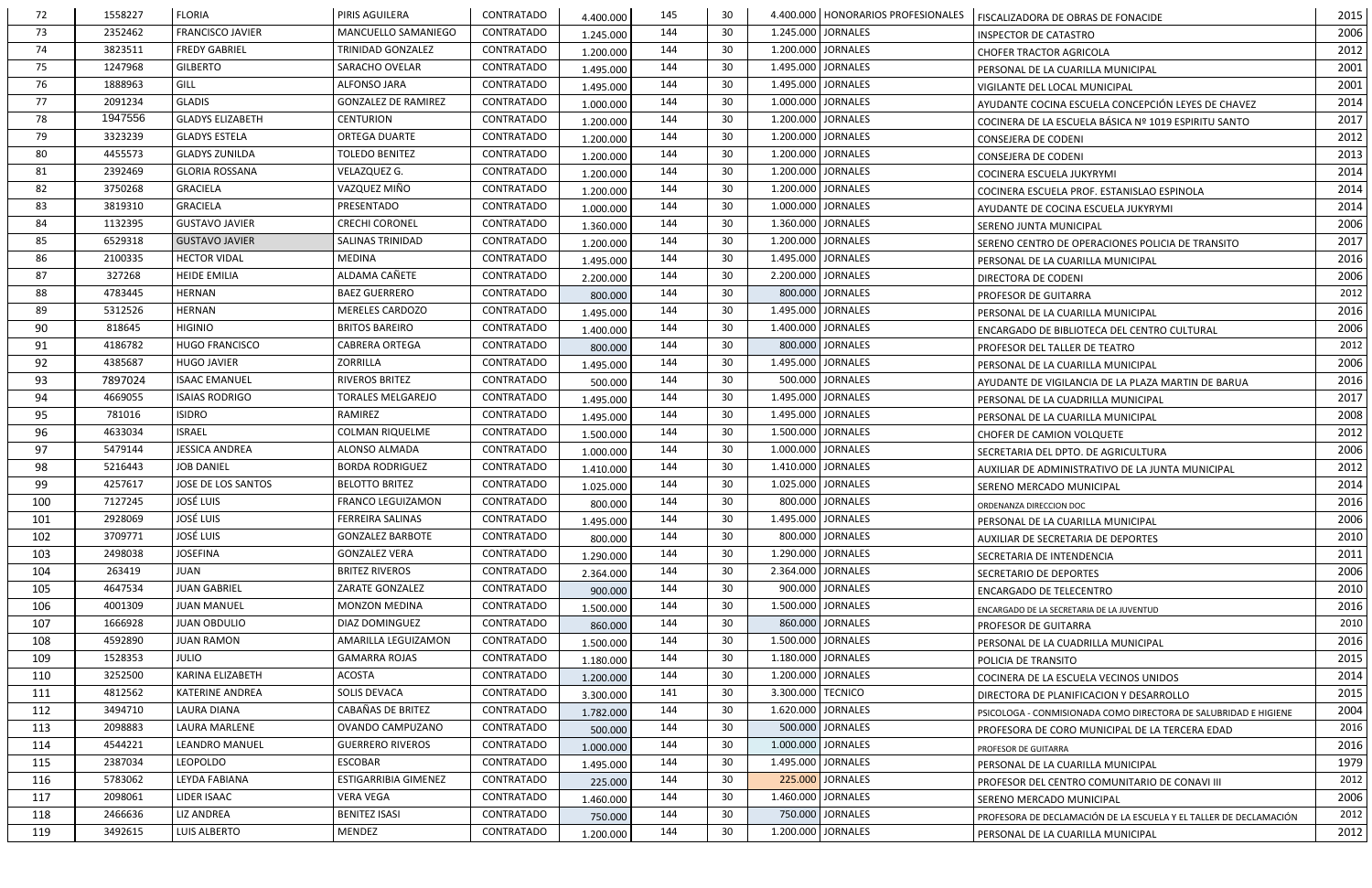| 72  | 1558227 | <b>FLORIA</b>           | <b>PIRIS AGUILERA</b>       | CONTRATADO        | 4.400.000 | 145 | 30  | 4.400.000   HONORARIOS PROFESIONALES | FISCALIZADORA DE OBRAS DE FONACIDE                                | 2015 |
|-----|---------|-------------------------|-----------------------------|-------------------|-----------|-----|-----|--------------------------------------|-------------------------------------------------------------------|------|
| 73  | 2352462 | <b>FRANCISCO JAVIER</b> | MANCUELLO SAMANIEGO         | CONTRATADO        | 1.245.000 | 144 | 30  | 1.245.000<br><b>JORNALES</b>         | <b>INSPECTOR DE CATASTRO</b>                                      | 2006 |
| 74  | 3823511 | <b>FREDY GABRIEL</b>    | TRINIDAD GONZALEZ           | CONTRATADO        | 1.200.000 | 144 | 30  | 1.200.000 JORNALES                   | <b>CHOFER TRACTOR AGRICOLA</b>                                    | 2012 |
| 75  | 1247968 | <b>GILBERTO</b>         | SARACHO OVELAR              | <b>CONTRATADO</b> | 1.495.000 | 144 | 30  | 1.495.000<br><b>JORNALES</b>         | PERSONAL DE LA CUARILLA MUNICIPAL                                 | 2001 |
| 76  | 1888963 | GILL                    | ALFONSO JARA                | CONTRATADO        | 1.495.000 | 144 | -30 | 1.495.000 JORNALES                   | VIGILANTE DEL LOCAL MUNICIPAL                                     | 2001 |
| 77  | 2091234 | <b>GLADIS</b>           | <b>GONZALEZ DE RAMIREZ</b>  | CONTRATADO        | 1.000.000 | 144 | 30  | <b>JORNALES</b><br>1.000.000         | AYUDANTE COCINA ESCUELA CONCEPCIÓN LEYES DE CHAVEZ                | 2014 |
| 78  | 1947556 | <b>GLADYS ELIZABETH</b> | <b>CENTURION</b>            | CONTRATADO        | 1.200.000 | 144 | 30  | 1.200.000 JORNALES                   | COCINERA DE LA ESCUELA BÁSICA Nº 1019 ESPIRITU SANTO              | 2017 |
| 79  | 3323239 | <b>GLADYS ESTELA</b>    | <b>ORTEGA DUARTE</b>        | CONTRATADO        | 1.200.000 | 144 | 30  | 1.200.000<br><b>JORNALES</b>         | CONSEJERA DE CODENI                                               | 2012 |
| 80  | 4455573 | <b>GLADYS ZUNILDA</b>   | <b>TOLEDO BENITEZ</b>       | <b>CONTRATADO</b> | 1.200.000 | 144 | 30  | 1.200.000<br><b>JORNALES</b>         | <b>CONSEJERA DE CODENI</b>                                        | 2013 |
| 81  | 2392469 | <b>GLORIA ROSSANA</b>   | VELAZQUEZ G.                | <b>CONTRATADO</b> | 1.200.000 | 144 | -30 | <b>JORNALES</b><br>1.200.000         | COCINERA ESCUELA JUKYRYMI                                         | 2014 |
| 82  | 3750268 | <b>GRACIELA</b>         | VAZQUEZ MIÑO                | CONTRATADO        | 1.200.000 | 144 | -30 | <b>JORNALES</b><br>1.200.000         | COCINERA ESCUELA PROF. ESTANISLAO ESPINOLA                        | 2014 |
| 83  | 3819310 | <b>GRACIELA</b>         | PRESENTADO                  | CONTRATADO        | 1.000.000 | 144 | 30  | 1.000.000 JORNALES                   | AYUDANTE DE COCINA ESCUELA JUKYRYMI                               | 2014 |
| 84  | 1132395 | <b>GUSTAVO JAVIER</b>   | <b>CRECHI CORONEL</b>       | <b>CONTRATADO</b> | 1.360.000 | 144 | 30  | 1.360.000<br><b>JORNALES</b>         | SERENO JUNTA MUNICIPAL                                            | 2006 |
| 85  | 6529318 | <b>GUSTAVO JAVIER</b>   | <b>SALINAS TRINIDAD</b>     | <b>CONTRATADO</b> | 1.200.000 | 144 | 30  | 1.200.000<br><b>JORNALES</b>         | SERENO CENTRO DE OPERACIONES POLICIA DE TRANSITO                  | 2017 |
| 86  | 2100335 | <b>HECTOR VIDAL</b>     | MEDINA                      | CONTRATADO        | 1.495.000 | 144 | -30 | 1.495.000<br><b>JORNALES</b>         | PERSONAL DE LA CUARILLA MUNICIPAL                                 | 2016 |
| 87  | 327268  | <b>HEIDE EMILIA</b>     | ALDAMA CAÑETE               | <b>CONTRATADO</b> | 2.200.000 | 144 | -30 | 2.200.000<br><b>JORNALES</b>         | DIRECTORA DE CODENI                                               | 2006 |
| 88  | 4783445 | <b>HERNAN</b>           | <b>BAEZ GUERRERO</b>        | CONTRATADO        | 800.000   | 144 | 30  | 800.000 JORNALES                     | PROFESOR DE GUITARRA                                              | 2012 |
| 89  | 5312526 | <b>HERNAN</b>           | MERELES CARDOZO             | CONTRATADO        | 1.495.000 | 144 | -30 | 1.495.000 JORNALES                   | PERSONAL DE LA CUARILLA MUNICIPAL                                 | 2016 |
| 90  | 818645  | <b>HIGINIO</b>          | <b>BRITOS BAREIRO</b>       | CONTRATADO        | 1.400.000 | 144 | 30  | 1.400.000 JORNALES                   | ENCARGADO DE BIBLIOTECA DEL CENTRO CULTURAL                       | 2006 |
| 91  | 4186782 | <b>HUGO FRANCISCO</b>   | <b>CABRERA ORTEGA</b>       | CONTRATADO        | 800.000   | 144 | 30  | 800.000<br><b>JORNALES</b>           | PROFESOR DEL TALLER DE TEATRO                                     | 2012 |
| 92  | 4385687 | <b>HUGO JAVIER</b>      | ZORRILLA                    | CONTRATADO        | 1.495.000 | 144 | -30 | 1.495.000<br><b>JORNALES</b>         | PERSONAL DE LA CUARILLA MUNICIPAL                                 | 2006 |
| 93  | 7897024 | <b>ISAAC EMANUEL</b>    | RIVEROS BRITEZ              | CONTRATADO        | 500.000   | 144 | 30  | <b>JORNALES</b><br>500.000           | AYUDANTE DE VIGILANCIA DE LA PLAZA MARTIN DE BARUA                | 2016 |
| 94  | 4669055 | <b>ISAIAS RODRIGO</b>   | <b>TORALES MELGAREJO</b>    | CONTRATADO        | 1.495.000 | 144 | 30  | <b>JORNALES</b><br>1.495.000         | PERSONAL DE LA CUADRILLA MUNICIPAL                                | 2017 |
| 95  | 781016  | <b>ISIDRO</b>           | RAMIREZ                     | CONTRATADO        | 1.495.000 | 144 | 30  | 1.495.000 JORNALES                   | PERSONAL DE LA CUARILLA MUNICIPAL                                 | 2008 |
| 96  | 4633034 | <b>ISRAEL</b>           | <b>COLMAN RIQUELME</b>      | <b>CONTRATADO</b> | 1.500.000 | 144 | 30  | 1.500.000<br><b>JORNALES</b>         | <b>CHOFER DE CAMION VOLQUETE</b>                                  | 2012 |
| 97  | 5479144 | <b>JESSICA ANDREA</b>   | ALONSO ALMADA               | CONTRATADO        | 1.000.000 | 144 | 30  | 1.000.000<br><b>JORNALES</b>         | SECRETARIA DEL DPTO. DE AGRICULTURA                               | 2006 |
| 98  | 5216443 | <b>JOB DANIEL</b>       | <b>BORDA RODRIGUEZ</b>      | CONTRATADO        | 1.410.000 | 144 | -30 | <b>JORNALES</b><br>1.410.000         | AUXILIAR DE ADMINISTRATIVO DE LA JUNTA MUNICIPAL                  | 2012 |
| 99  | 4257617 | JOSE DE LOS SANTOS      | <b>BELOTTO BRITEZ</b>       | CONTRATADO        | 1.025.000 | 144 | -30 | 1.025.000<br><b>JORNALES</b>         | SERENO MERCADO MUNICIPAL                                          | 2014 |
| 100 | 7127245 | <b>JOSÉ LUIS</b>        | <b>FRANCO LEGUIZAMON</b>    | CONTRATADO        | 800.000   | 144 | 30  | 800.000 JORNALES                     | ORDENANZA DIRECCION DOC                                           | 2016 |
| 101 | 2928069 | <b>JOSÉ LUIS</b>        | FERREIRA SALINAS            | CONTRATADO        | 1.495.000 | 144 | 30  | 1.495.000 JORNALES                   | PERSONAL DE LA CUARILLA MUNICIPAL                                 | 2006 |
| 102 | 3709771 | <b>JOSÉ LUIS</b>        | <b>GONZALEZ BARBOTE</b>     | CONTRATADO        | 800.000   | 144 | 30  | 800.000 JORNALES                     | AUXILIAR DE SECRETARIA DE DEPORTES                                | 2010 |
| 103 | 2498038 | <b>JOSEFINA</b>         | <b>GONZALEZ VERA</b>        | CONTRATADO        | 1.290.000 | 144 | 30  | 1.290.000<br><b>JORNALES</b>         | SECRETARIA DE INTENDENCIA                                         | 2011 |
| 104 | 263419  | <b>JUAN</b>             | <b>BRITEZ RIVEROS</b>       | <b>CONTRATADO</b> | 2.364.000 | 144 | -30 | 2.364.000<br><b>JORNALES</b>         | SECRETARIO DE DEPORTES                                            | 2006 |
| 105 | 4647534 | <b>JUAN GABRIEL</b>     | ZARATE GONZALEZ             | CONTRATADO        | 900.000   | 144 | 30  | 900.000 JORNALES                     | <b>ENCARGADO DE TELECENTRO</b>                                    | 2010 |
| 106 | 4001309 | <b>JUAN MANUEL</b>      | MONZON MEDINA               | CONTRATADO        | 1.500.000 | 144 | 30  | <b>JORNALES</b><br>1.500.000         | ENCARGADO DE LA SECRETARIA DE LA JUVENTUD                         | 2016 |
| 107 | 1666928 | <b>JUAN OBDULIO</b>     | DIAZ DOMINGUEZ              | CONTRATADO        | 860.000   | 144 | 30  | 860.000 JORNALES                     | PROFESOR DE GUITARRA                                              | 2010 |
| 108 | 4592890 | <b>JUAN RAMON</b>       | AMARILLA LEGUIZAMON         | <b>CONTRATADO</b> | 1.500.000 | 144 | -30 | 1.500.000 JORNALES                   | PERSONAL DE LA CUADRILLA MUNICIPAL                                | 2016 |
| 109 | 1528353 | <b>JULIO</b>            | <b>GAMARRA ROJAS</b>        | <b>CONTRATADO</b> | 1.180.000 | 144 | 30  | 1.180.000<br><b>JORNALES</b>         | POLICIA DE TRANSITO                                               | 2015 |
| 110 | 3252500 | KARINA ELIZABETH        | <b>ACOSTA</b>               | CONTRATADO        | 1.200.000 | 144 | 30  | 1.200.000 JORNALES                   | COCINERA DE LA ESCUELA VECINOS UNIDOS                             | 2014 |
| 111 | 4812562 | <b>KATERINE ANDREA</b>  | SOLIS DEVACA                | <b>CONTRATADO</b> | 3.300.000 | 141 | -30 | 3.300.000<br><b>TECNICO</b>          | DIRECTORA DE PLANIFICACION Y DESARROLLO                           | 2015 |
| 112 | 3494710 | LAURA DIANA             | CABAÑAS DE BRITEZ           | CONTRATADO        | 1.782.000 | 144 | -30 | 1.620.000 JORNALES                   | PSICOLOGA - CONMISIONADA COMO DIRECTORA DE SALUBRIDAD E HIGIENE   | 2004 |
| 113 | 2098883 | <b>LAURA MARLENE</b>    | OVANDO CAMPUZANO            | CONTRATADO        | 500.000   | 144 | 30  | 500.000 JORNALES                     | PROFESORA DE CORO MUNICIPAL DE LA TERCERA EDAD                    | 2016 |
| 114 | 4544221 | <b>LEANDRO MANUEL</b>   | <b>GUERRERO RIVEROS</b>     | CONTRATADO        | 1.000.000 | 144 | 30  | 1.000.000 JORNALES                   | PROFESOR DE GUITARRA                                              | 2016 |
| 115 | 2387034 | <b>LEOPOLDO</b>         | ESCOBAR                     | CONTRATADO        | 1.495.000 | 144 | 30  | 1.495.000 JORNALES                   | PERSONAL DE LA CUARILLA MUNICIPAL                                 | 1979 |
| 116 | 5783062 | <b>LEYDA FABIANA</b>    | <b>ESTIGARRIBIA GIMENEZ</b> | CONTRATADO        | 225.000   | 144 | 30  | 225.000<br><b>JORNALES</b>           | PROFESOR DEL CENTRO COMUNITARIO DE CONAVI III                     | 2012 |
| 117 | 2098061 | LIDER ISAAC             | VERA VEGA                   | CONTRATADO        | 1.460.000 | 144 | -30 | 1.460.000<br><b>JORNALES</b>         | SERENO MERCADO MUNICIPAL                                          | 2006 |
| 118 | 2466636 | <b>LIZ ANDREA</b>       | <b>BENITEZ ISASI</b>        | CONTRATADO        | 750.000   | 144 | 30  | 750.000 JORNALES                     | PROFESORA DE DECLAMACIÓN DE LA ESCUELA Y EL TALLER DE DECLAMACIÓN | 2012 |
| 119 | 3492615 | LUIS ALBERTO            | MENDEZ                      | CONTRATADO        | 1.200.000 | 144 | 30  | 1.200.000 JORNALES                   | PERSONAL DE LA CUARILLA MUNICIPAL                                 | 2012 |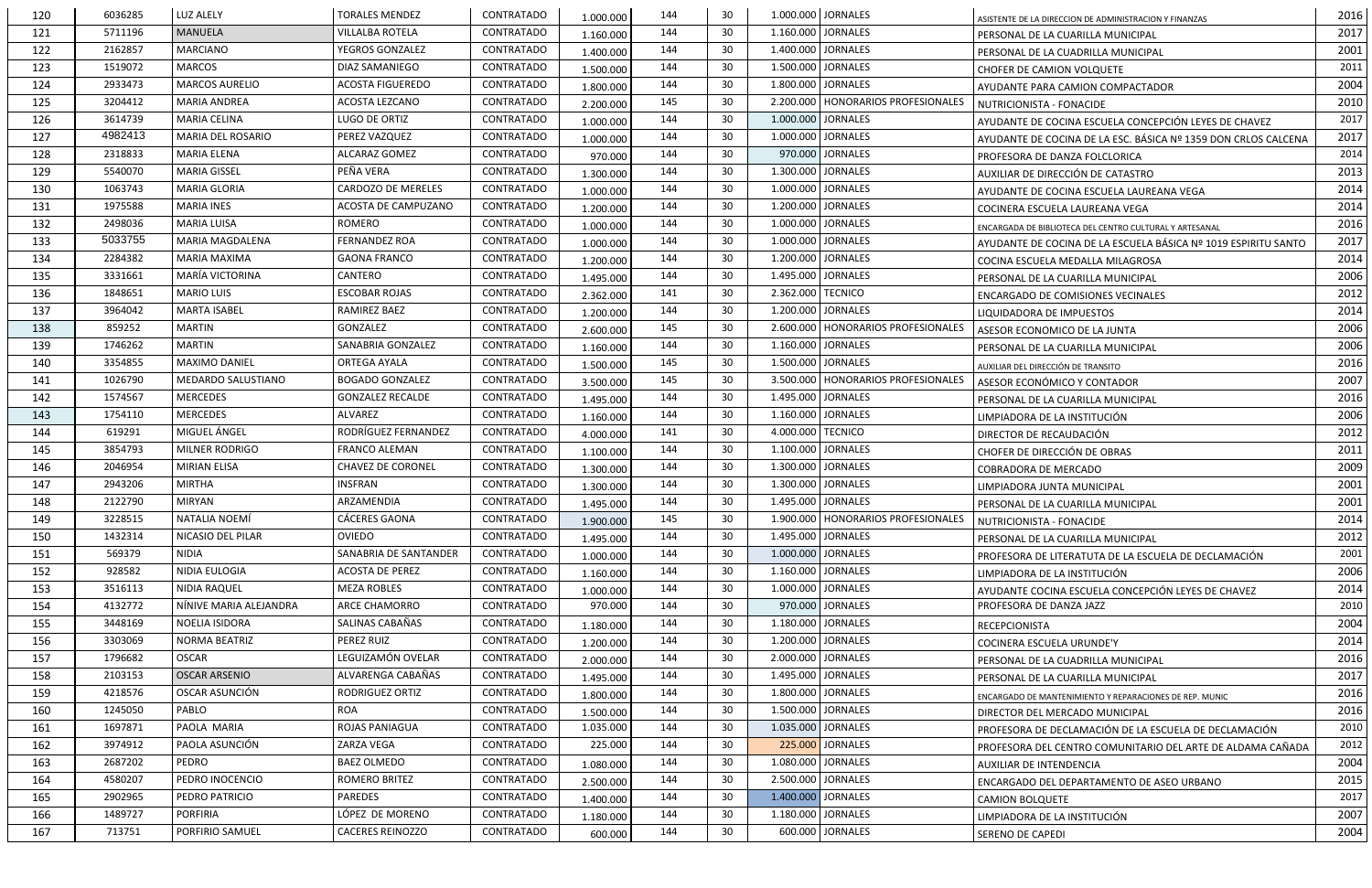| 1.000.000<br>ASISTENTE DE LA DIRECCION DE ADMINISTRACION Y FINANZAS<br>144<br>1.160.000<br><b>JORNALES</b><br>5711196<br><b>MANUELA</b><br><b>VILLALBA ROTELA</b><br><b>CONTRATADO</b><br>-30<br>121<br>1.160.000<br>PERSONAL DE LA CUARILLA MUNICIPAL<br>122<br>2162857<br>YEGROS GONZALEZ<br>144<br>30<br>1.400.000 JORNALES<br><b>MARCIANO</b><br>CONTRATADO<br>1.400.000<br>PERSONAL DE LA CUADRILLA MUNICIPAL<br>1519072<br>CONTRATADO<br>1.500.000<br><b>JORNALES</b><br>MARCOS<br>DIAZ SAMANIEGO<br>144<br>30<br>123<br>1.500.000<br><b>CHOFER DE CAMION VOLQUETE</b><br>2933473<br><b>MARCOS AURELIO</b><br><b>ACOSTA FIGUEREDO</b><br>30<br>1.800.000 JORNALES<br>124<br>CONTRATADO<br>144<br>1.800.000<br>AYUDANTE PARA CAMION COMPACTADOR<br>125<br>3204412<br><b>MARIA ANDREA</b><br>ACOSTA LEZCANO<br><b>CONTRATADO</b><br>145<br>30<br>2.200.000<br><b>HONORARIOS PROFESIONALES</b><br>2.200.000<br>NUTRICIONISTA - FONACIDE<br>144<br>126<br>3614739<br><b>MARIA CELINA</b><br>LUGO DE ORTIZ<br>CONTRATADO<br>-30<br>1.000.000<br>JORNALES<br>1.000.000<br>AYUDANTE DE COCINA ESCUELA CONCEPCIÓN LEYES DE CHAVEZ<br>4982413<br>MARIA DEL ROSARIO<br>PEREZ VAZQUEZ<br>CONTRATADO<br>144<br>1.000.000<br><b>JORNALES</b><br>127<br>-30<br>1.000.000<br>AYUDANTE DE COCINA DE LA ESC. BÁSICA Nº 1359 DON CRLOS CALCENA<br>2318833<br>144<br>30<br>970.000 JORNALES<br>128<br>MARIA ELENA<br>ALCARAZ GOMEZ<br>CONTRATADO<br>970.000<br>PROFESORA DE DANZA FOLCLORICA<br>PEÑA VERA<br>5540070<br><b>MARIA GISSEL</b><br>CONTRATADO<br><b>JORNALES</b><br>144<br>30<br>1.300.000<br>129<br>1.300.000<br>AUXILIAR DE DIRECCIÓN DE CATASTRO<br>1063743<br><b>CARDOZO DE MERELES</b><br><b>MARIA GLORIA</b><br><b>CONTRATADO</b><br>30<br>1.000.000<br><b>JORNALES</b><br>130<br>144<br>1.000.000<br>AYUDANTE DE COCINA ESCUELA LAUREANA VEGA<br>131<br>1975588<br>ACOSTA DE CAMPUZANO<br>144<br>30<br>1.200.000<br><b>JORNALES</b><br><b>MARIA INES</b><br>CONTRATADO<br>1.200.000<br>COCINERA ESCUELA LAUREANA VEGA<br>2498036<br>ROMERO<br>CONTRATADO<br><b>JORNALES</b><br>132<br>MARIA LUISA<br>144<br>-30<br>1.000.000<br>1.000.000<br>ENCARGADA DE BIBLIOTECA DEL CENTRO CULTURAL Y ARTESANAL<br>5033755<br><b>FERNANDEZ ROA</b><br><b>JORNALES</b><br><b>MARIA MAGDALENA</b><br>CONTRATADO<br>144<br>-30<br>1.000.000<br>133<br>1.000.000<br>AYUDANTE DE COCINA DE LA ESCUELA BÁSICA Nº 1019 ESPIRITU SANTO<br>2284382<br><b>GAONA FRANCO</b><br>144<br>30<br>1.200.000 JORNALES<br>134<br><b>MARIA MAXIMA</b><br>CONTRATADO<br>1.200.000<br>COCINA ESCUELA MEDALLA MILAGROSA<br>MARÍA VICTORINA<br>CANTERO<br>1.495.000<br><b>JORNALES</b><br>135<br>3331661<br>CONTRATADO<br>144<br>30<br>1.495.000<br>PERSONAL DE LA CUARILLA MUNICIPAL |      |
|----------------------------------------------------------------------------------------------------------------------------------------------------------------------------------------------------------------------------------------------------------------------------------------------------------------------------------------------------------------------------------------------------------------------------------------------------------------------------------------------------------------------------------------------------------------------------------------------------------------------------------------------------------------------------------------------------------------------------------------------------------------------------------------------------------------------------------------------------------------------------------------------------------------------------------------------------------------------------------------------------------------------------------------------------------------------------------------------------------------------------------------------------------------------------------------------------------------------------------------------------------------------------------------------------------------------------------------------------------------------------------------------------------------------------------------------------------------------------------------------------------------------------------------------------------------------------------------------------------------------------------------------------------------------------------------------------------------------------------------------------------------------------------------------------------------------------------------------------------------------------------------------------------------------------------------------------------------------------------------------------------------------------------------------------------------------------------------------------------------------------------------------------------------------------------------------------------------------------------------------------------------------------------------------------------------------------------------------------------------------------------------------------------------------------------------------------------------------------------------------------------------------------------------------------------------------------------------------------------------------------------------------------------------------------------------------------------------------------------------------------------|------|
|                                                                                                                                                                                                                                                                                                                                                                                                                                                                                                                                                                                                                                                                                                                                                                                                                                                                                                                                                                                                                                                                                                                                                                                                                                                                                                                                                                                                                                                                                                                                                                                                                                                                                                                                                                                                                                                                                                                                                                                                                                                                                                                                                                                                                                                                                                                                                                                                                                                                                                                                                                                                                                                                                                                                                          | 2017 |
|                                                                                                                                                                                                                                                                                                                                                                                                                                                                                                                                                                                                                                                                                                                                                                                                                                                                                                                                                                                                                                                                                                                                                                                                                                                                                                                                                                                                                                                                                                                                                                                                                                                                                                                                                                                                                                                                                                                                                                                                                                                                                                                                                                                                                                                                                                                                                                                                                                                                                                                                                                                                                                                                                                                                                          | 2001 |
|                                                                                                                                                                                                                                                                                                                                                                                                                                                                                                                                                                                                                                                                                                                                                                                                                                                                                                                                                                                                                                                                                                                                                                                                                                                                                                                                                                                                                                                                                                                                                                                                                                                                                                                                                                                                                                                                                                                                                                                                                                                                                                                                                                                                                                                                                                                                                                                                                                                                                                                                                                                                                                                                                                                                                          | 2011 |
|                                                                                                                                                                                                                                                                                                                                                                                                                                                                                                                                                                                                                                                                                                                                                                                                                                                                                                                                                                                                                                                                                                                                                                                                                                                                                                                                                                                                                                                                                                                                                                                                                                                                                                                                                                                                                                                                                                                                                                                                                                                                                                                                                                                                                                                                                                                                                                                                                                                                                                                                                                                                                                                                                                                                                          | 2004 |
|                                                                                                                                                                                                                                                                                                                                                                                                                                                                                                                                                                                                                                                                                                                                                                                                                                                                                                                                                                                                                                                                                                                                                                                                                                                                                                                                                                                                                                                                                                                                                                                                                                                                                                                                                                                                                                                                                                                                                                                                                                                                                                                                                                                                                                                                                                                                                                                                                                                                                                                                                                                                                                                                                                                                                          | 2010 |
|                                                                                                                                                                                                                                                                                                                                                                                                                                                                                                                                                                                                                                                                                                                                                                                                                                                                                                                                                                                                                                                                                                                                                                                                                                                                                                                                                                                                                                                                                                                                                                                                                                                                                                                                                                                                                                                                                                                                                                                                                                                                                                                                                                                                                                                                                                                                                                                                                                                                                                                                                                                                                                                                                                                                                          | 2017 |
|                                                                                                                                                                                                                                                                                                                                                                                                                                                                                                                                                                                                                                                                                                                                                                                                                                                                                                                                                                                                                                                                                                                                                                                                                                                                                                                                                                                                                                                                                                                                                                                                                                                                                                                                                                                                                                                                                                                                                                                                                                                                                                                                                                                                                                                                                                                                                                                                                                                                                                                                                                                                                                                                                                                                                          | 2017 |
|                                                                                                                                                                                                                                                                                                                                                                                                                                                                                                                                                                                                                                                                                                                                                                                                                                                                                                                                                                                                                                                                                                                                                                                                                                                                                                                                                                                                                                                                                                                                                                                                                                                                                                                                                                                                                                                                                                                                                                                                                                                                                                                                                                                                                                                                                                                                                                                                                                                                                                                                                                                                                                                                                                                                                          | 2014 |
|                                                                                                                                                                                                                                                                                                                                                                                                                                                                                                                                                                                                                                                                                                                                                                                                                                                                                                                                                                                                                                                                                                                                                                                                                                                                                                                                                                                                                                                                                                                                                                                                                                                                                                                                                                                                                                                                                                                                                                                                                                                                                                                                                                                                                                                                                                                                                                                                                                                                                                                                                                                                                                                                                                                                                          | 2013 |
|                                                                                                                                                                                                                                                                                                                                                                                                                                                                                                                                                                                                                                                                                                                                                                                                                                                                                                                                                                                                                                                                                                                                                                                                                                                                                                                                                                                                                                                                                                                                                                                                                                                                                                                                                                                                                                                                                                                                                                                                                                                                                                                                                                                                                                                                                                                                                                                                                                                                                                                                                                                                                                                                                                                                                          | 2014 |
|                                                                                                                                                                                                                                                                                                                                                                                                                                                                                                                                                                                                                                                                                                                                                                                                                                                                                                                                                                                                                                                                                                                                                                                                                                                                                                                                                                                                                                                                                                                                                                                                                                                                                                                                                                                                                                                                                                                                                                                                                                                                                                                                                                                                                                                                                                                                                                                                                                                                                                                                                                                                                                                                                                                                                          | 2014 |
|                                                                                                                                                                                                                                                                                                                                                                                                                                                                                                                                                                                                                                                                                                                                                                                                                                                                                                                                                                                                                                                                                                                                                                                                                                                                                                                                                                                                                                                                                                                                                                                                                                                                                                                                                                                                                                                                                                                                                                                                                                                                                                                                                                                                                                                                                                                                                                                                                                                                                                                                                                                                                                                                                                                                                          | 2016 |
|                                                                                                                                                                                                                                                                                                                                                                                                                                                                                                                                                                                                                                                                                                                                                                                                                                                                                                                                                                                                                                                                                                                                                                                                                                                                                                                                                                                                                                                                                                                                                                                                                                                                                                                                                                                                                                                                                                                                                                                                                                                                                                                                                                                                                                                                                                                                                                                                                                                                                                                                                                                                                                                                                                                                                          | 2017 |
|                                                                                                                                                                                                                                                                                                                                                                                                                                                                                                                                                                                                                                                                                                                                                                                                                                                                                                                                                                                                                                                                                                                                                                                                                                                                                                                                                                                                                                                                                                                                                                                                                                                                                                                                                                                                                                                                                                                                                                                                                                                                                                                                                                                                                                                                                                                                                                                                                                                                                                                                                                                                                                                                                                                                                          | 2014 |
|                                                                                                                                                                                                                                                                                                                                                                                                                                                                                                                                                                                                                                                                                                                                                                                                                                                                                                                                                                                                                                                                                                                                                                                                                                                                                                                                                                                                                                                                                                                                                                                                                                                                                                                                                                                                                                                                                                                                                                                                                                                                                                                                                                                                                                                                                                                                                                                                                                                                                                                                                                                                                                                                                                                                                          | 2006 |
| 2.362.000 TECNICO<br>136<br>1848651<br><b>MARIO LUIS</b><br>ESCOBAR ROJAS<br><b>CONTRATADO</b><br>141<br>30<br>2.362.000<br><b>ENCARGADO DE COMISIONES VECINALES</b>                                                                                                                                                                                                                                                                                                                                                                                                                                                                                                                                                                                                                                                                                                                                                                                                                                                                                                                                                                                                                                                                                                                                                                                                                                                                                                                                                                                                                                                                                                                                                                                                                                                                                                                                                                                                                                                                                                                                                                                                                                                                                                                                                                                                                                                                                                                                                                                                                                                                                                                                                                                     | 2012 |
| 137<br>3964042<br><b>MARTA ISABEL</b><br>RAMIREZ BAEZ<br>CONTRATADO<br>30<br>1.200.000<br><b>JORNALES</b><br>144<br>1.200.000<br>LIQUIDADORA DE IMPUESTOS                                                                                                                                                                                                                                                                                                                                                                                                                                                                                                                                                                                                                                                                                                                                                                                                                                                                                                                                                                                                                                                                                                                                                                                                                                                                                                                                                                                                                                                                                                                                                                                                                                                                                                                                                                                                                                                                                                                                                                                                                                                                                                                                                                                                                                                                                                                                                                                                                                                                                                                                                                                                | 2014 |
| 145<br>859252<br><b>MARTIN</b><br>GONZALEZ<br>CONTRATADO<br>-30<br>2.600.000<br>HONORARIOS PROFESIONALES<br>138<br>2.600.000<br>ASESOR ECONOMICO DE LA JUNTA                                                                                                                                                                                                                                                                                                                                                                                                                                                                                                                                                                                                                                                                                                                                                                                                                                                                                                                                                                                                                                                                                                                                                                                                                                                                                                                                                                                                                                                                                                                                                                                                                                                                                                                                                                                                                                                                                                                                                                                                                                                                                                                                                                                                                                                                                                                                                                                                                                                                                                                                                                                             | 2006 |
| 1746262<br>SANABRIA GONZALEZ<br><b>CONTRATADO</b><br>30<br>1.160.000<br><b>JORNALES</b><br>139<br><b>MARTIN</b><br>144<br>1.160.000<br>PERSONAL DE LA CUARILLA MUNICIPAL                                                                                                                                                                                                                                                                                                                                                                                                                                                                                                                                                                                                                                                                                                                                                                                                                                                                                                                                                                                                                                                                                                                                                                                                                                                                                                                                                                                                                                                                                                                                                                                                                                                                                                                                                                                                                                                                                                                                                                                                                                                                                                                                                                                                                                                                                                                                                                                                                                                                                                                                                                                 | 2006 |
| 3354855<br>145<br>30<br>1.500.000 JORNALES<br><b>MAXIMO DANIEL</b><br><b>ORTEGA AYALA</b><br>CONTRATADO<br>140<br>1.500.000<br>AUXILIAR DEL DIRECCIÓN DE TRANSITO                                                                                                                                                                                                                                                                                                                                                                                                                                                                                                                                                                                                                                                                                                                                                                                                                                                                                                                                                                                                                                                                                                                                                                                                                                                                                                                                                                                                                                                                                                                                                                                                                                                                                                                                                                                                                                                                                                                                                                                                                                                                                                                                                                                                                                                                                                                                                                                                                                                                                                                                                                                        | 2016 |
| 145<br>3.500.000   HONORARIOS PROFESIONALES<br>1026790<br>MEDARDO SALUSTIANO<br><b>BOGADO GONZALEZ</b><br>CONTRATADO<br>30<br>141<br>3.500.000<br>ASESOR ECONÓMICO Y CONTADOR                                                                                                                                                                                                                                                                                                                                                                                                                                                                                                                                                                                                                                                                                                                                                                                                                                                                                                                                                                                                                                                                                                                                                                                                                                                                                                                                                                                                                                                                                                                                                                                                                                                                                                                                                                                                                                                                                                                                                                                                                                                                                                                                                                                                                                                                                                                                                                                                                                                                                                                                                                            | 2007 |
| 1.495.000 JORNALES<br>1574567<br><b>MERCEDES</b><br><b>GONZALEZ RECALDE</b><br><b>CONTRATADO</b><br>142<br>144<br>30<br>1.495.000<br>PERSONAL DE LA CUARILLA MUNICIPAL                                                                                                                                                                                                                                                                                                                                                                                                                                                                                                                                                                                                                                                                                                                                                                                                                                                                                                                                                                                                                                                                                                                                                                                                                                                                                                                                                                                                                                                                                                                                                                                                                                                                                                                                                                                                                                                                                                                                                                                                                                                                                                                                                                                                                                                                                                                                                                                                                                                                                                                                                                                   | 2016 |
| 143<br><b>MERCEDES</b><br>ALVAREZ<br><b>CONTRATADO</b><br>144<br>30<br>1.160.000 JORNALES<br>1754110<br>1.160.000<br>LIMPIADORA DE LA INSTITUCIÓN                                                                                                                                                                                                                                                                                                                                                                                                                                                                                                                                                                                                                                                                                                                                                                                                                                                                                                                                                                                                                                                                                                                                                                                                                                                                                                                                                                                                                                                                                                                                                                                                                                                                                                                                                                                                                                                                                                                                                                                                                                                                                                                                                                                                                                                                                                                                                                                                                                                                                                                                                                                                        | 2006 |
| MIGUEL ÁNGEL<br>RODRÍGUEZ FERNANDEZ<br>CONTRATADO<br>4.000.000<br><b>TECNICO</b><br>619291<br>141<br>-30<br>144<br>DIRECTOR DE RECAUDACIÓN<br>4.000.000                                                                                                                                                                                                                                                                                                                                                                                                                                                                                                                                                                                                                                                                                                                                                                                                                                                                                                                                                                                                                                                                                                                                                                                                                                                                                                                                                                                                                                                                                                                                                                                                                                                                                                                                                                                                                                                                                                                                                                                                                                                                                                                                                                                                                                                                                                                                                                                                                                                                                                                                                                                                  | 2012 |
| 3854793<br>MILNER RODRIGO<br>144<br>30<br>1.100.000<br><b>JORNALES</b><br>145<br><b>FRANCO ALEMAN</b><br>CONTRATADO<br>1.100.000<br>CHOFER DE DIRECCIÓN DE OBRAS                                                                                                                                                                                                                                                                                                                                                                                                                                                                                                                                                                                                                                                                                                                                                                                                                                                                                                                                                                                                                                                                                                                                                                                                                                                                                                                                                                                                                                                                                                                                                                                                                                                                                                                                                                                                                                                                                                                                                                                                                                                                                                                                                                                                                                                                                                                                                                                                                                                                                                                                                                                         | 2011 |
| 2046954<br>CONTRATADO<br>30<br>1.300.000 JORNALES<br><b>MIRIAN ELISA</b><br><b>CHAVEZ DE CORONEL</b><br>144<br>146<br>1.300.000<br>COBRADORA DE MERCADO                                                                                                                                                                                                                                                                                                                                                                                                                                                                                                                                                                                                                                                                                                                                                                                                                                                                                                                                                                                                                                                                                                                                                                                                                                                                                                                                                                                                                                                                                                                                                                                                                                                                                                                                                                                                                                                                                                                                                                                                                                                                                                                                                                                                                                                                                                                                                                                                                                                                                                                                                                                                  | 2009 |
| 2943206<br><b>MIRTHA</b><br><b>INSFRAN</b><br><b>CONTRATADO</b><br>1.300.000 JORNALES<br>147<br>144<br>30<br>1.300.000<br>LIMPIADORA JUNTA MUNICIPAL                                                                                                                                                                                                                                                                                                                                                                                                                                                                                                                                                                                                                                                                                                                                                                                                                                                                                                                                                                                                                                                                                                                                                                                                                                                                                                                                                                                                                                                                                                                                                                                                                                                                                                                                                                                                                                                                                                                                                                                                                                                                                                                                                                                                                                                                                                                                                                                                                                                                                                                                                                                                     | 2001 |
| 2122790<br>MIRYAN<br>ARZAMENDIA<br><b>CONTRATADO</b><br>30<br>1.495.000 JORNALES<br>144<br>148<br>1.495.000<br>PERSONAL DE LA CUARILLA MUNICIPAL                                                                                                                                                                                                                                                                                                                                                                                                                                                                                                                                                                                                                                                                                                                                                                                                                                                                                                                                                                                                                                                                                                                                                                                                                                                                                                                                                                                                                                                                                                                                                                                                                                                                                                                                                                                                                                                                                                                                                                                                                                                                                                                                                                                                                                                                                                                                                                                                                                                                                                                                                                                                         | 2001 |
| <b>CÁCERES GAONA</b><br><b>CONTRATADO</b><br>30<br>149<br>3228515<br>NATALIA NOEMÍ<br>145<br>1.900.000   HONORARIOS PROFESIONALES<br>1.900.000<br>NUTRICIONISTA - FONACIDE                                                                                                                                                                                                                                                                                                                                                                                                                                                                                                                                                                                                                                                                                                                                                                                                                                                                                                                                                                                                                                                                                                                                                                                                                                                                                                                                                                                                                                                                                                                                                                                                                                                                                                                                                                                                                                                                                                                                                                                                                                                                                                                                                                                                                                                                                                                                                                                                                                                                                                                                                                               | 2014 |
| <b>JORNALES</b><br>1432314<br>NICASIO DEL PILAR<br><b>OVIEDO</b><br>CONTRATADO<br>144<br>-30<br>1.495.000<br>150<br>1.495.000<br>PERSONAL DE LA CUARILLA MUNICIPAL                                                                                                                                                                                                                                                                                                                                                                                                                                                                                                                                                                                                                                                                                                                                                                                                                                                                                                                                                                                                                                                                                                                                                                                                                                                                                                                                                                                                                                                                                                                                                                                                                                                                                                                                                                                                                                                                                                                                                                                                                                                                                                                                                                                                                                                                                                                                                                                                                                                                                                                                                                                       | 2012 |
| 569379<br>SANABRIA DE SANTANDER<br>1.000.000 JORNALES<br><b>NIDIA</b><br><b>CONTRATADO</b><br>151<br>144<br>30<br>1.000.000<br>PROFESORA DE LITERATUTA DE LA ESCUELA DE DECLAMACIÓN                                                                                                                                                                                                                                                                                                                                                                                                                                                                                                                                                                                                                                                                                                                                                                                                                                                                                                                                                                                                                                                                                                                                                                                                                                                                                                                                                                                                                                                                                                                                                                                                                                                                                                                                                                                                                                                                                                                                                                                                                                                                                                                                                                                                                                                                                                                                                                                                                                                                                                                                                                      | 2001 |
| 928582<br>NIDIA EULOGIA<br>ACOSTA DE PEREZ<br><b>CONTRATADO</b><br>144<br>30<br>1.160.000 JORNALES<br>152<br>1.160.000<br>LIMPIADORA DE LA INSTITUCIÓN                                                                                                                                                                                                                                                                                                                                                                                                                                                                                                                                                                                                                                                                                                                                                                                                                                                                                                                                                                                                                                                                                                                                                                                                                                                                                                                                                                                                                                                                                                                                                                                                                                                                                                                                                                                                                                                                                                                                                                                                                                                                                                                                                                                                                                                                                                                                                                                                                                                                                                                                                                                                   | 2006 |
| 1.000.000 JORNALES<br><b>MEZA ROBLES</b><br><b>CONTRATADO</b><br>153<br>3516113<br><b>NIDIA RAQUEL</b><br>144<br>30<br>1.000.000<br>AYUDANTE COCINA ESCUELA CONCEPCIÓN LEYES DE CHAVEZ                                                                                                                                                                                                                                                                                                                                                                                                                                                                                                                                                                                                                                                                                                                                                                                                                                                                                                                                                                                                                                                                                                                                                                                                                                                                                                                                                                                                                                                                                                                                                                                                                                                                                                                                                                                                                                                                                                                                                                                                                                                                                                                                                                                                                                                                                                                                                                                                                                                                                                                                                                   | 2014 |
| 4132772<br>970.000<br>NÍNIVE MARIA ALEJANDRA<br><b>ARCE CHAMORRO</b><br><b>CONTRATADO</b><br>970.000<br><b>JORNALES</b><br>154<br>144<br>30<br>PROFESORA DE DANZA JAZZ                                                                                                                                                                                                                                                                                                                                                                                                                                                                                                                                                                                                                                                                                                                                                                                                                                                                                                                                                                                                                                                                                                                                                                                                                                                                                                                                                                                                                                                                                                                                                                                                                                                                                                                                                                                                                                                                                                                                                                                                                                                                                                                                                                                                                                                                                                                                                                                                                                                                                                                                                                                   | 2010 |
| <b>JORNALES</b><br>155<br>3448169<br>NOELIA ISIDORA<br>SALINAS CABAÑAS<br>CONTRATADO<br>144<br>30<br>1.180.000<br>1.180.000<br><b>RECEPCIONISTA</b>                                                                                                                                                                                                                                                                                                                                                                                                                                                                                                                                                                                                                                                                                                                                                                                                                                                                                                                                                                                                                                                                                                                                                                                                                                                                                                                                                                                                                                                                                                                                                                                                                                                                                                                                                                                                                                                                                                                                                                                                                                                                                                                                                                                                                                                                                                                                                                                                                                                                                                                                                                                                      | 2004 |
| 3303069<br><b>NORMA BEATRIZ</b><br>PEREZ RUIZ<br><b>CONTRATADO</b><br>1.200.000<br><b>JORNALES</b><br>156<br>144<br>-30<br>1.200.000<br>COCINERA ESCUELA URUNDE'Y                                                                                                                                                                                                                                                                                                                                                                                                                                                                                                                                                                                                                                                                                                                                                                                                                                                                                                                                                                                                                                                                                                                                                                                                                                                                                                                                                                                                                                                                                                                                                                                                                                                                                                                                                                                                                                                                                                                                                                                                                                                                                                                                                                                                                                                                                                                                                                                                                                                                                                                                                                                        | 2014 |
| 1796682<br><b>OSCAR</b><br>LEGUIZAMÓN OVELAR<br>2.000.000 JORNALES<br>157<br>CONTRATADO<br>144<br>30<br>2.000.000<br>PERSONAL DE LA CUADRILLA MUNICIPAL                                                                                                                                                                                                                                                                                                                                                                                                                                                                                                                                                                                                                                                                                                                                                                                                                                                                                                                                                                                                                                                                                                                                                                                                                                                                                                                                                                                                                                                                                                                                                                                                                                                                                                                                                                                                                                                                                                                                                                                                                                                                                                                                                                                                                                                                                                                                                                                                                                                                                                                                                                                                  | 2016 |
| <b>OSCAR ARSENIO</b><br>ALVARENGA CABAÑAS<br>1.495.000 JORNALES<br>2103153<br><b>CONTRATADO</b><br>144<br>30<br>158<br>1.495.000<br>PERSONAL DE LA CUARILLA MUNICIPAL                                                                                                                                                                                                                                                                                                                                                                                                                                                                                                                                                                                                                                                                                                                                                                                                                                                                                                                                                                                                                                                                                                                                                                                                                                                                                                                                                                                                                                                                                                                                                                                                                                                                                                                                                                                                                                                                                                                                                                                                                                                                                                                                                                                                                                                                                                                                                                                                                                                                                                                                                                                    | 2017 |
| 1.800.000 JORNALES<br>4218576<br>OSCAR ASUNCIÓN<br>RODRIGUEZ ORTIZ<br><b>CONTRATADO</b><br>159<br>144<br>30<br>1.800.000<br>ENCARGADO DE MANTENIMIENTO Y REPARACIONES DE REP. MUNIC                                                                                                                                                                                                                                                                                                                                                                                                                                                                                                                                                                                                                                                                                                                                                                                                                                                                                                                                                                                                                                                                                                                                                                                                                                                                                                                                                                                                                                                                                                                                                                                                                                                                                                                                                                                                                                                                                                                                                                                                                                                                                                                                                                                                                                                                                                                                                                                                                                                                                                                                                                      | 2016 |
| PABLO<br>1.500.000 JORNALES<br>160<br>1245050<br>ROA<br>CONTRATADO<br>144<br>30<br>1.500.000<br>DIRECTOR DEL MERCADO MUNICIPAL                                                                                                                                                                                                                                                                                                                                                                                                                                                                                                                                                                                                                                                                                                                                                                                                                                                                                                                                                                                                                                                                                                                                                                                                                                                                                                                                                                                                                                                                                                                                                                                                                                                                                                                                                                                                                                                                                                                                                                                                                                                                                                                                                                                                                                                                                                                                                                                                                                                                                                                                                                                                                           | 2016 |
| 1697871<br>1.035.000<br>PAOLA MARIA<br>ROJAS PANIAGUA<br>CONTRATADO<br>1.035.000<br>144<br>30<br><b>JORNALES</b><br>161<br>PROFESORA DE DECLAMACIÓN DE LA ESCUELA DE DECLAMACIÓN                                                                                                                                                                                                                                                                                                                                                                                                                                                                                                                                                                                                                                                                                                                                                                                                                                                                                                                                                                                                                                                                                                                                                                                                                                                                                                                                                                                                                                                                                                                                                                                                                                                                                                                                                                                                                                                                                                                                                                                                                                                                                                                                                                                                                                                                                                                                                                                                                                                                                                                                                                         | 2010 |
| PAOLA ASUNCIÓN<br>225.000 JORNALES<br>3974912<br>ZARZA VEGA<br>CONTRATADO<br>225.000<br>144<br>162<br>-30<br>PROFESORA DEL CENTRO COMUNITARIO DEL ARTE DE ALDAMA CAÑADA                                                                                                                                                                                                                                                                                                                                                                                                                                                                                                                                                                                                                                                                                                                                                                                                                                                                                                                                                                                                                                                                                                                                                                                                                                                                                                                                                                                                                                                                                                                                                                                                                                                                                                                                                                                                                                                                                                                                                                                                                                                                                                                                                                                                                                                                                                                                                                                                                                                                                                                                                                                  | 2012 |
| 2687202<br>PEDRO<br><b>BAEZ OLMEDO</b><br><b>CONTRATADO</b><br>1.080.000<br><b>JORNALES</b><br>163<br>144<br>30<br>1.080.000<br>AUXILIAR DE INTENDENCIA                                                                                                                                                                                                                                                                                                                                                                                                                                                                                                                                                                                                                                                                                                                                                                                                                                                                                                                                                                                                                                                                                                                                                                                                                                                                                                                                                                                                                                                                                                                                                                                                                                                                                                                                                                                                                                                                                                                                                                                                                                                                                                                                                                                                                                                                                                                                                                                                                                                                                                                                                                                                  | 2004 |
| 4580207<br>PEDRO INOCENCIO<br>ROMERO BRITEZ<br><b>CONTRATADO</b><br>144<br>30<br>2.500.000 JORNALES<br>164<br>2.500.000<br>ENCARGADO DEL DEPARTAMENTO DE ASEO URBANO                                                                                                                                                                                                                                                                                                                                                                                                                                                                                                                                                                                                                                                                                                                                                                                                                                                                                                                                                                                                                                                                                                                                                                                                                                                                                                                                                                                                                                                                                                                                                                                                                                                                                                                                                                                                                                                                                                                                                                                                                                                                                                                                                                                                                                                                                                                                                                                                                                                                                                                                                                                     | 2015 |
| <b>JORNALES</b><br>PEDRO PATRICIO<br>PAREDES<br><b>CONTRATADO</b><br>1.400.000<br>165<br>2902965<br>144<br>30<br>1.400.000<br><b>CAMION BOLQUETE</b>                                                                                                                                                                                                                                                                                                                                                                                                                                                                                                                                                                                                                                                                                                                                                                                                                                                                                                                                                                                                                                                                                                                                                                                                                                                                                                                                                                                                                                                                                                                                                                                                                                                                                                                                                                                                                                                                                                                                                                                                                                                                                                                                                                                                                                                                                                                                                                                                                                                                                                                                                                                                     | 2017 |
| LÓPEZ DE MORENO<br>1489727<br><b>PORFIRIA</b><br><b>CONTRATADO</b><br>1.180.000<br><b>JORNALES</b><br>166<br>144<br>30<br>LIMPIADORA DE LA INSTITUCIÓN<br>1.180.000                                                                                                                                                                                                                                                                                                                                                                                                                                                                                                                                                                                                                                                                                                                                                                                                                                                                                                                                                                                                                                                                                                                                                                                                                                                                                                                                                                                                                                                                                                                                                                                                                                                                                                                                                                                                                                                                                                                                                                                                                                                                                                                                                                                                                                                                                                                                                                                                                                                                                                                                                                                      | 2007 |
| 600.000 JORNALES<br>713751<br>PORFIRIO SAMUEL<br><b>CACERES REINOZZO</b><br>167<br>CONTRATADO<br>144<br>30<br>600.000<br>SERENO DE CAPEDI                                                                                                                                                                                                                                                                                                                                                                                                                                                                                                                                                                                                                                                                                                                                                                                                                                                                                                                                                                                                                                                                                                                                                                                                                                                                                                                                                                                                                                                                                                                                                                                                                                                                                                                                                                                                                                                                                                                                                                                                                                                                                                                                                                                                                                                                                                                                                                                                                                                                                                                                                                                                                | 2004 |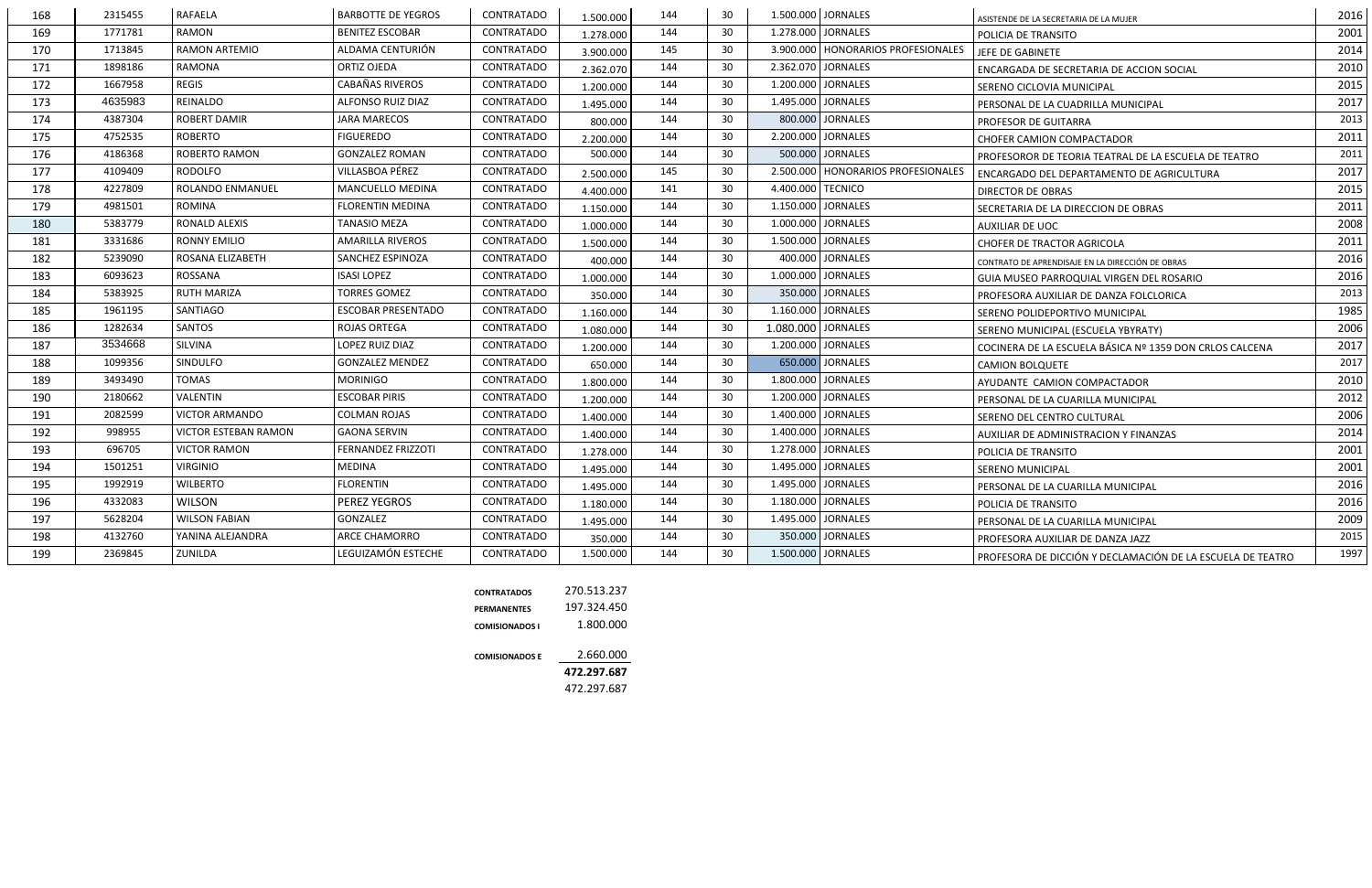| 168 | 2315455 | <b>RAFAELA</b>              | <b>BARBOTTE DE YEGROS</b> | <b>CONTRATADO</b> | 1.500.000 | 144 | 30 |                    | 1.500.000 JORNALES                   | ASISTENDE DE LA SECRETARIA DE LA MUJER                     | 2016 |
|-----|---------|-----------------------------|---------------------------|-------------------|-----------|-----|----|--------------------|--------------------------------------|------------------------------------------------------------|------|
| 169 | 1771781 | RAMON                       | <b>BENITEZ ESCOBAR</b>    | <b>CONTRATADO</b> | 1.278.000 | 144 | 30 |                    | 1.278.000 JORNALES                   | POLICIA DE TRANSITO                                        | 2001 |
| 170 | 1713845 | <b>RAMON ARTEMIO</b>        | ALDAMA CENTURIÓN          | <b>CONTRATADO</b> | 3.900.000 | 145 | 30 |                    | 3.900.000   HONORARIOS PROFESIONALES | JEFE DE GABINETE                                           | 2014 |
| 171 | 1898186 | <b>RAMONA</b>               | <b>ORTIZ OJEDA</b>        | <b>CONTRATADO</b> | 2.362.070 | 144 | 30 |                    | 2.362.070 JORNALES                   | ENCARGADA DE SECRETARIA DE ACCION SOCIAL                   | 2010 |
| 172 | 1667958 | <b>REGIS</b>                | <b>CABAÑAS RIVEROS</b>    | <b>CONTRATADO</b> | 1.200.000 | 144 | 30 |                    | 1.200.000 JORNALES                   | SERENO CICLOVIA MUNICIPAL                                  | 2015 |
| 173 | 4635983 | REINALDO                    | ALFONSO RUIZ DIAZ         | <b>CONTRATADO</b> | 1.495.000 | 144 | 30 |                    | 1.495.000 JORNALES                   | PERSONAL DE LA CUADRILLA MUNICIPAL                         | 2017 |
| 174 | 4387304 | <b>ROBERT DAMIR</b>         | <b>JARA MARECOS</b>       | <b>CONTRATADO</b> | 800.000   | 144 | 30 |                    | 800.000 JORNALES                     | PROFESOR DE GUITARRA                                       | 2013 |
| 175 | 4752535 | <b>ROBERTO</b>              | <b>FIGUEREDO</b>          | <b>CONTRATADO</b> | 2.200.000 | 144 | 30 |                    | 2.200.000 JORNALES                   | <b>CHOFER CAMION COMPACTADOR</b>                           | 2011 |
| 176 | 4186368 | <b>ROBERTO RAMON</b>        | <b>GONZALEZ ROMAN</b>     | <b>CONTRATADO</b> | 500.000   | 144 | 30 |                    | 500.000 JORNALES                     | PROFESOROR DE TEORIA TEATRAL DE LA ESCUELA DE TEATRO       | 2011 |
| 177 | 4109409 | <b>RODOLFO</b>              | VILLASBOA PÉREZ           | <b>CONTRATADO</b> | 2.500.000 | 145 | 30 |                    | 2.500.000   HONORARIOS PROFESIONALES | ENCARGADO DEL DEPARTAMENTO DE AGRICULTURA                  | 2017 |
| 178 | 4227809 | <b>ROLANDO ENMANUEL</b>     | MANCUELLO MEDINA          | <b>CONTRATADO</b> | 4.400.000 | 141 | 30 | 4.400.000 TECNICO  |                                      | <b>DIRECTOR DE OBRAS</b>                                   | 2015 |
| 179 | 4981501 | <b>ROMINA</b>               | <b>FLORENTIN MEDINA</b>   | <b>CONTRATADO</b> | 1.150.000 | 144 | 30 |                    | 1.150.000 JORNALES                   | SECRETARIA DE LA DIRECCION DE OBRAS                        | 2011 |
| 180 | 5383779 | RONALD ALEXIS               | <b>TANASIO MEZA</b>       | <b>CONTRATADO</b> | 1.000.000 | 144 | 30 |                    | 1.000.000 JORNALES                   | <b>AUXILIAR DE UOC</b>                                     | 2008 |
| 181 | 3331686 | <b>RONNY EMILIO</b>         | <b>AMARILLA RIVEROS</b>   | <b>CONTRATADO</b> | 1.500.000 | 144 | 30 |                    | 1.500.000 JORNALES                   | CHOFER DE TRACTOR AGRICOLA                                 | 2011 |
| 182 | 5239090 | ROSANA ELIZABETH            | SANCHEZ ESPINOZA          | <b>CONTRATADO</b> | 400.000   | 144 | 30 |                    | 400.000 JORNALES                     | CONTRATO DE APRENDISAJE EN LA DIRECCIÓN DE OBRAS           | 2016 |
| 183 | 6093623 | ROSSANA                     | <b>ISASI LOPEZ</b>        | <b>CONTRATADO</b> | 1.000.000 | 144 | 30 |                    | 1.000.000 JORNALES                   | GUIA MUSEO PARROQUIAL VIRGEN DEL ROSARIO                   | 2016 |
| 184 | 5383925 | <b>RUTH MARIZA</b>          | <b>TORRES GOMEZ</b>       | <b>CONTRATADO</b> | 350.000   | 144 | 30 |                    | 350.000 JORNALES                     | PROFESORA AUXILIAR DE DANZA FOLCLORICA                     | 2013 |
| 185 | 1961195 | <b>SANTIAGO</b>             | <b>ESCOBAR PRESENTADO</b> | CONTRATADO        | 1.160.000 | 144 | 30 |                    | 1.160.000 JORNALES                   | SERENO POLIDEPORTIVO MUNICIPAL                             | 1985 |
| 186 | 1282634 | SANTOS                      | <b>ROJAS ORTEGA</b>       | <b>CONTRATADO</b> | 1.080.000 | 144 | 30 | 1.080.000 JORNALES |                                      | SERENO MUNICIPAL (ESCUELA YBYRATY)                         | 2006 |
| 187 | 3534668 | SILVINA                     | LOPEZ RUIZ DIAZ           | <b>CONTRATADO</b> | 1.200.000 | 144 | 30 |                    | 1.200.000 JORNALES                   | COCINERA DE LA ESCUELA BÁSICA Nº 1359 DON CRLOS CALCENA    | 2017 |
| 188 | 1099356 | SINDULFO                    | <b>GONZALEZ MENDEZ</b>    | <b>CONTRATADO</b> | 650.000   | 144 | 30 |                    | 650.000 JORNALES                     | <b>CAMION BOLQUETE</b>                                     | 2017 |
| 189 | 3493490 | TOMAS                       | <b>MORINIGO</b>           | <b>CONTRATADO</b> | 1.800.000 | 144 | 30 |                    | 1.800.000 JORNALES                   | AYUDANTE CAMION COMPACTADOR                                | 2010 |
| 190 | 2180662 | <b>VALENTIN</b>             | <b>ESCOBAR PIRIS</b>      | <b>CONTRATADO</b> | 1.200.000 | 144 | 30 |                    | 1.200.000 JORNALES                   | PERSONAL DE LA CUARILLA MUNICIPAL                          | 2012 |
| 191 | 2082599 | <b>VICTOR ARMANDO</b>       | <b>COLMAN ROJAS</b>       | CONTRATADO        | 1.400.000 | 144 | 30 |                    | 1.400.000 JORNALES                   | SERENO DEL CENTRO CULTURAL                                 | 2006 |
| 192 | 998955  | <b>VICTOR ESTEBAN RAMON</b> | <b>GAONA SERVIN</b>       | <b>CONTRATADO</b> | 1.400.000 | 144 | 30 |                    | 1.400.000 JORNALES                   | AUXILIAR DE ADMINISTRACION Y FINANZAS                      | 2014 |
| 193 | 696705  | <b>VICTOR RAMON</b>         | FERNANDEZ FRIZZOTI        | CONTRATADO        | 1.278.000 | 144 | 30 |                    | 1.278.000 JORNALES                   | POLICIA DE TRANSITO                                        | 2001 |
| 194 | 1501251 | <b>VIRGINIO</b>             | MEDINA                    | <b>CONTRATADO</b> | 1.495.000 | 144 | 30 |                    | 1.495.000 JORNALES                   | <b>SERENO MUNICIPAL</b>                                    | 2001 |
| 195 | 1992919 | <b>WILBERTO</b>             | <b>FLORENTIN</b>          | CONTRATADO        | 1.495.000 | 144 | 30 |                    | 1.495.000 JORNALES                   | PERSONAL DE LA CUARILLA MUNICIPAL                          | 2016 |
| 196 | 4332083 | <b>WILSON</b>               | PEREZ YEGROS              | CONTRATADO        | 1.180.000 | 144 | 30 |                    | 1.180.000 JORNALES                   | POLICIA DE TRANSITO                                        | 2016 |
| 197 | 5628204 | <b>WILSON FABIAN</b>        | GONZALEZ                  | CONTRATADO        | 1.495.000 | 144 | 30 |                    | 1.495.000 JORNALES                   | PERSONAL DE LA CUARILLA MUNICIPAL                          | 2009 |
| 198 | 4132760 | YANINA ALEJANDRA            | ARCE CHAMORRO             | CONTRATADO        | 350.000   | 144 | 30 |                    | 350.000 JORNALES                     | PROFESORA AUXILIAR DE DANZA JAZZ                           | 2015 |
| 199 | 2369845 | ZUNILDA                     | LEGUIZAMÓN ESTECHE        | <b>CONTRATADO</b> | 1.500.000 | 144 | 30 |                    | 1.500.000 JORNALES                   | PROFESORA DE DICCIÓN Y DECLAMACIÓN DE LA ESCUELA DE TEATRO | 1997 |
|     |         |                             |                           |                   |           |     |    |                    |                                      |                                                            |      |

| <b>CONTRATADOS</b>    | 270.513.237 |
|-----------------------|-------------|
| PERMANENTES           | 197.324.450 |
| <b>COMISIONADOS I</b> | 1.800.000   |
| <b>COMISIONADOS E</b> | 2.660.000   |
|                       | 472.297.687 |
|                       | 472.297.687 |
|                       |             |